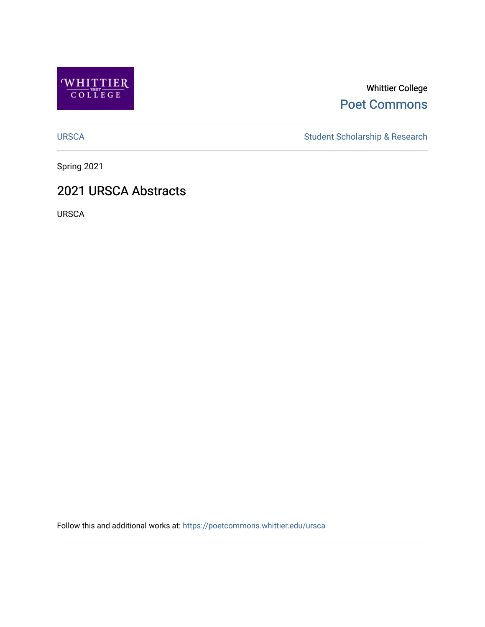

# Whittier College [Poet Commons](https://poetcommons.whittier.edu/)

[URSCA](https://poetcommons.whittier.edu/ursca) Student Scholarship & Research

Spring 2021

# 2021 URSCA Abstracts

URSCA

Follow this and additional works at: [https://poetcommons.whittier.edu/ursca](https://poetcommons.whittier.edu/ursca?utm_source=poetcommons.whittier.edu%2Fursca%2F8&utm_medium=PDF&utm_campaign=PDFCoverPages)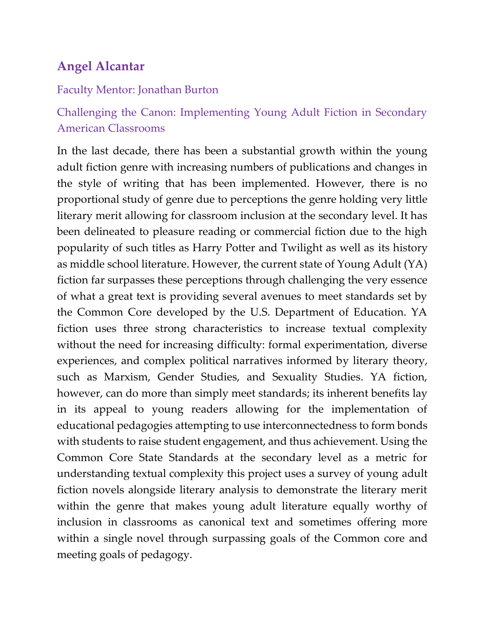# **Angel Alcantar**

#### Faculty Mentor: Jonathan Burton

# Challenging the Canon: Implementing Young Adult Fiction in Secondary American Classrooms

In the last decade, there has been a substantial growth within the young adult fiction genre with increasing numbers of publications and changes in the style of writing that has been implemented. However, there is no proportional study of genre due to perceptions the genre holding very little literary merit allowing for classroom inclusion at the secondary level. It has been delineated to pleasure reading or commercial fiction due to the high popularity of such titles as Harry Potter and Twilight as well as its history as middle school literature. However, the current state of Young Adult (YA) fiction far surpasses these perceptions through challenging the very essence of what a great text is providing several avenues to meet standards set by the Common Core developed by the U.S. Department of Education. YA fiction uses three strong characteristics to increase textual complexity without the need for increasing difficulty: formal experimentation, diverse experiences, and complex political narratives informed by literary theory, such as Marxism, Gender Studies, and Sexuality Studies. YA fiction, however, can do more than simply meet standards; its inherent benefits lay in its appeal to young readers allowing for the implementation of educational pedagogies attempting to use interconnectedness to form bonds with students to raise student engagement, and thus achievement. Using the Common Core State Standards at the secondary level as a metric for understanding textual complexity this project uses a survey of young adult fiction novels alongside literary analysis to demonstrate the literary merit within the genre that makes young adult literature equally worthy of inclusion in classrooms as canonical text and sometimes offering more within a single novel through surpassing goals of the Common core and meeting goals of pedagogy.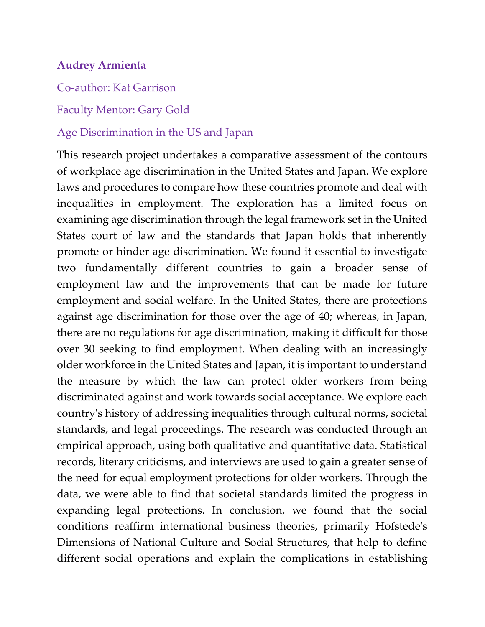### **Audrey Armienta**

Co-author: Kat Garrison

#### Faculty Mentor: Gary Gold

#### Age Discrimination in the US and Japan

This research project undertakes a comparative assessment of the contours of workplace age discrimination in the United States and Japan. We explore laws and procedures to compare how these countries promote and deal with inequalities in employment. The exploration has a limited focus on examining age discrimination through the legal framework set in the United States court of law and the standards that Japan holds that inherently promote or hinder age discrimination. We found it essential to investigate two fundamentally different countries to gain a broader sense of employment law and the improvements that can be made for future employment and social welfare. In the United States, there are protections against age discrimination for those over the age of 40; whereas, in Japan, there are no regulations for age discrimination, making it difficult for those over 30 seeking to find employment. When dealing with an increasingly older workforce in the United States and Japan, it is important to understand the measure by which the law can protect older workers from being discriminated against and work towards social acceptance. We explore each country's history of addressing inequalities through cultural norms, societal standards, and legal proceedings. The research was conducted through an empirical approach, using both qualitative and quantitative data. Statistical records, literary criticisms, and interviews are used to gain a greater sense of the need for equal employment protections for older workers. Through the data, we were able to find that societal standards limited the progress in expanding legal protections. In conclusion, we found that the social conditions reaffirm international business theories, primarily Hofstede's Dimensions of National Culture and Social Structures, that help to define different social operations and explain the complications in establishing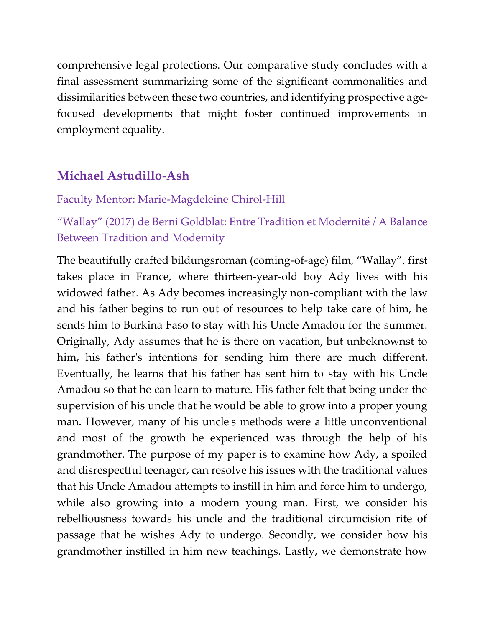comprehensive legal protections. Our comparative study concludes with a final assessment summarizing some of the significant commonalities and dissimilarities between these two countries, and identifying prospective agefocused developments that might foster continued improvements in employment equality.

# **Michael Astudillo-Ash**

### Faculty Mentor: Marie-Magdeleine Chirol-Hill

# "Wallay" (2017) de Berni Goldblat: Entre Tradition et Modernité / A Balance Between Tradition and Modernity

The beautifully crafted bildungsroman (coming-of-age) film, "Wallay", first takes place in France, where thirteen-year-old boy Ady lives with his widowed father. As Ady becomes increasingly non-compliant with the law and his father begins to run out of resources to help take care of him, he sends him to Burkina Faso to stay with his Uncle Amadou for the summer. Originally, Ady assumes that he is there on vacation, but unbeknownst to him, his father's intentions for sending him there are much different. Eventually, he learns that his father has sent him to stay with his Uncle Amadou so that he can learn to mature. His father felt that being under the supervision of his uncle that he would be able to grow into a proper young man. However, many of his uncle's methods were a little unconventional and most of the growth he experienced was through the help of his grandmother. The purpose of my paper is to examine how Ady, a spoiled and disrespectful teenager, can resolve his issues with the traditional values that his Uncle Amadou attempts to instill in him and force him to undergo, while also growing into a modern young man. First, we consider his rebelliousness towards his uncle and the traditional circumcision rite of passage that he wishes Ady to undergo. Secondly, we consider how his grandmother instilled in him new teachings. Lastly, we demonstrate how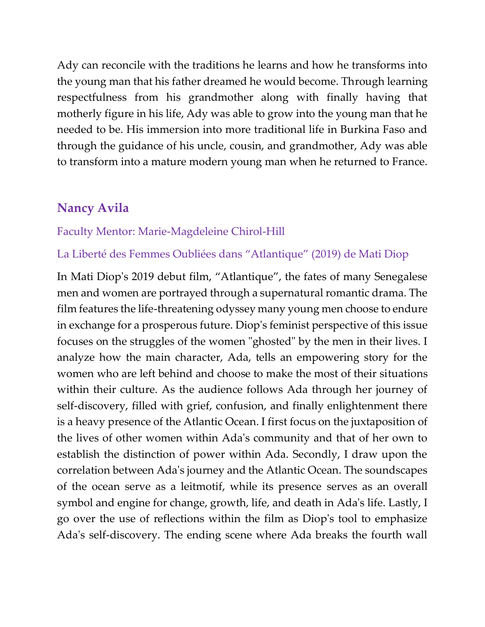Ady can reconcile with the traditions he learns and how he transforms into the young man that his father dreamed he would become. Through learning respectfulness from his grandmother along with finally having that motherly figure in his life, Ady was able to grow into the young man that he needed to be. His immersion into more traditional life in Burkina Faso and through the guidance of his uncle, cousin, and grandmother, Ady was able to transform into a mature modern young man when he returned to France.

## **Nancy Avila**

#### Faculty Mentor: Marie-Magdeleine Chirol-Hill

### La Liberté des Femmes Oubliées dans "Atlantique" (2019) de Mati Diop

In Mati Diop's 2019 debut film, "Atlantique", the fates of many Senegalese men and women are portrayed through a supernatural romantic drama. The film features the life-threatening odyssey many young men choose to endure in exchange for a prosperous future. Diop's feminist perspective of this issue focuses on the struggles of the women "ghosted" by the men in their lives. I analyze how the main character, Ada, tells an empowering story for the women who are left behind and choose to make the most of their situations within their culture. As the audience follows Ada through her journey of self-discovery, filled with grief, confusion, and finally enlightenment there is a heavy presence of the Atlantic Ocean. I first focus on the juxtaposition of the lives of other women within Ada's community and that of her own to establish the distinction of power within Ada. Secondly, I draw upon the correlation between Ada's journey and the Atlantic Ocean. The soundscapes of the ocean serve as a leitmotif, while its presence serves as an overall symbol and engine for change, growth, life, and death in Ada's life. Lastly, I go over the use of reflections within the film as Diop's tool to emphasize Ada's self-discovery. The ending scene where Ada breaks the fourth wall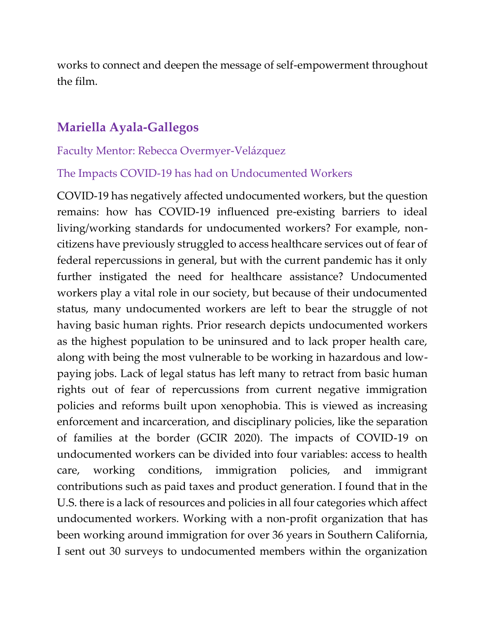works to connect and deepen the message of self-empowerment throughout the film.

# **Mariella Ayala-Gallegos**

#### Faculty Mentor: Rebecca Overmyer-Velázquez

#### The Impacts COVID-19 has had on Undocumented Workers

COVID-19 has negatively affected undocumented workers, but the question remains: how has COVID-19 influenced pre-existing barriers to ideal living/working standards for undocumented workers? For example, noncitizens have previously struggled to access healthcare services out of fear of federal repercussions in general, but with the current pandemic has it only further instigated the need for healthcare assistance? Undocumented workers play a vital role in our society, but because of their undocumented status, many undocumented workers are left to bear the struggle of not having basic human rights. Prior research depicts undocumented workers as the highest population to be uninsured and to lack proper health care, along with being the most vulnerable to be working in hazardous and lowpaying jobs. Lack of legal status has left many to retract from basic human rights out of fear of repercussions from current negative immigration policies and reforms built upon xenophobia. This is viewed as increasing enforcement and incarceration, and disciplinary policies, like the separation of families at the border (GCIR 2020). The impacts of COVID-19 on undocumented workers can be divided into four variables: access to health care, working conditions, immigration policies, and immigrant contributions such as paid taxes and product generation. I found that in the U.S. there is a lack of resources and policies in all four categories which affect undocumented workers. Working with a non-profit organization that has been working around immigration for over 36 years in Southern California, I sent out 30 surveys to undocumented members within the organization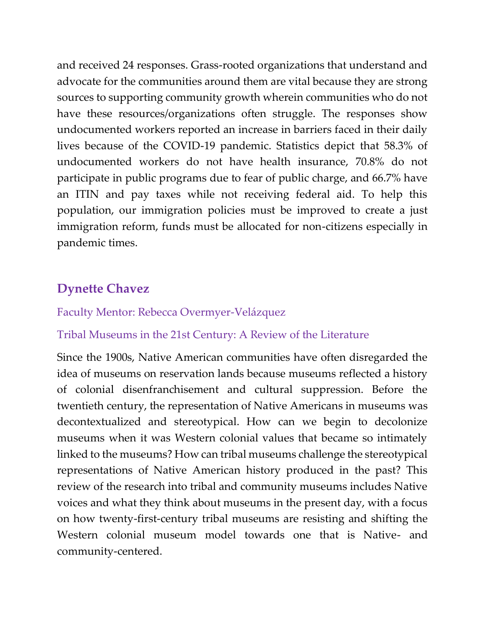and received 24 responses. Grass-rooted organizations that understand and advocate for the communities around them are vital because they are strong sources to supporting community growth wherein communities who do not have these resources/organizations often struggle. The responses show undocumented workers reported an increase in barriers faced in their daily lives because of the COVID-19 pandemic. Statistics depict that 58.3% of undocumented workers do not have health insurance, 70.8% do not participate in public programs due to fear of public charge, and 66.7% have an ITIN and pay taxes while not receiving federal aid. To help this population, our immigration policies must be improved to create a just immigration reform, funds must be allocated for non-citizens especially in pandemic times.

# **Dynette Chavez**

## Faculty Mentor: Rebecca Overmyer-Velázquez

### Tribal Museums in the 21st Century: A Review of the Literature

Since the 1900s, Native American communities have often disregarded the idea of museums on reservation lands because museums reflected a history of colonial disenfranchisement and cultural suppression. Before the twentieth century, the representation of Native Americans in museums was decontextualized and stereotypical. How can we begin to decolonize museums when it was Western colonial values that became so intimately linked to the museums? How can tribal museums challenge the stereotypical representations of Native American history produced in the past? This review of the research into tribal and community museums includes Native voices and what they think about museums in the present day, with a focus on how twenty-first-century tribal museums are resisting and shifting the Western colonial museum model towards one that is Native- and community-centered.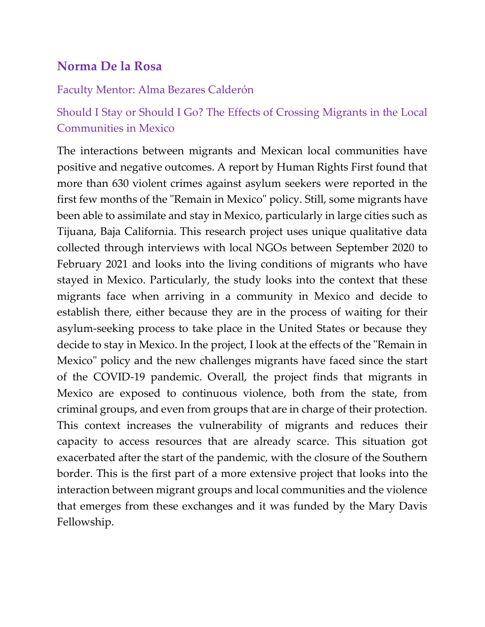# **Norma De la Rosa**

#### Faculty Mentor: Alma Bezares Calderón

# Should I Stay or Should I Go? The Effects of Crossing Migrants in the Local Communities in Mexico

The interactions between migrants and Mexican local communities have positive and negative outcomes. A report by Human Rights First found that more than 630 violent crimes against asylum seekers were reported in the first few months of the "Remain in Mexico" policy. Still, some migrants have been able to assimilate and stay in Mexico, particularly in large cities such as Tijuana, Baja California. This research project uses unique qualitative data collected through interviews with local NGOs between September 2020 to February 2021 and looks into the living conditions of migrants who have stayed in Mexico. Particularly, the study looks into the context that these migrants face when arriving in a community in Mexico and decide to establish there, either because they are in the process of waiting for their asylum-seeking process to take place in the United States or because they decide to stay in Mexico. In the project, I look at the effects of the "Remain in Mexico" policy and the new challenges migrants have faced since the start of the COVID-19 pandemic. Overall, the project finds that migrants in Mexico are exposed to continuous violence, both from the state, from criminal groups, and even from groups that are in charge of their protection. This context increases the vulnerability of migrants and reduces their capacity to access resources that are already scarce. This situation got exacerbated after the start of the pandemic, with the closure of the Southern border. This is the first part of a more extensive project that looks into the interaction between migrant groups and local communities and the violence that emerges from these exchanges and it was funded by the Mary Davis Fellowship.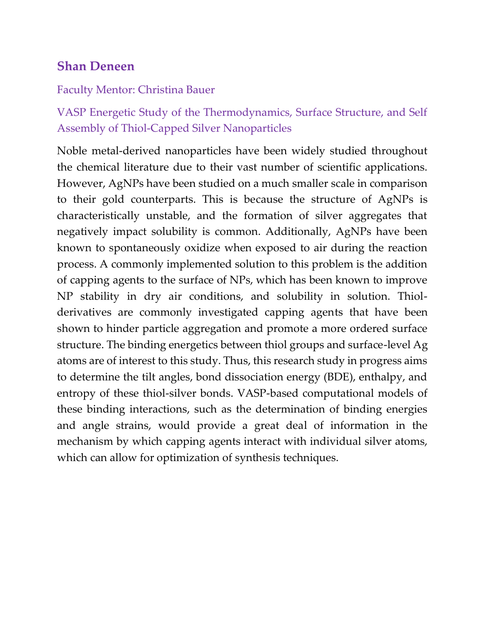# **Shan Deneen**

### Faculty Mentor: Christina Bauer

VASP Energetic Study of the Thermodynamics, Surface Structure, and Self Assembly of Thiol-Capped Silver Nanoparticles

Noble metal-derived nanoparticles have been widely studied throughout the chemical literature due to their vast number of scientific applications. However, AgNPs have been studied on a much smaller scale in comparison to their gold counterparts. This is because the structure of AgNPs is characteristically unstable, and the formation of silver aggregates that negatively impact solubility is common. Additionally, AgNPs have been known to spontaneously oxidize when exposed to air during the reaction process. A commonly implemented solution to this problem is the addition of capping agents to the surface of NPs, which has been known to improve NP stability in dry air conditions, and solubility in solution. Thiolderivatives are commonly investigated capping agents that have been shown to hinder particle aggregation and promote a more ordered surface structure. The binding energetics between thiol groups and surface-level Ag atoms are of interest to this study. Thus, this research study in progress aims to determine the tilt angles, bond dissociation energy (BDE), enthalpy, and entropy of these thiol-silver bonds. VASP-based computational models of these binding interactions, such as the determination of binding energies and angle strains, would provide a great deal of information in the mechanism by which capping agents interact with individual silver atoms, which can allow for optimization of synthesis techniques.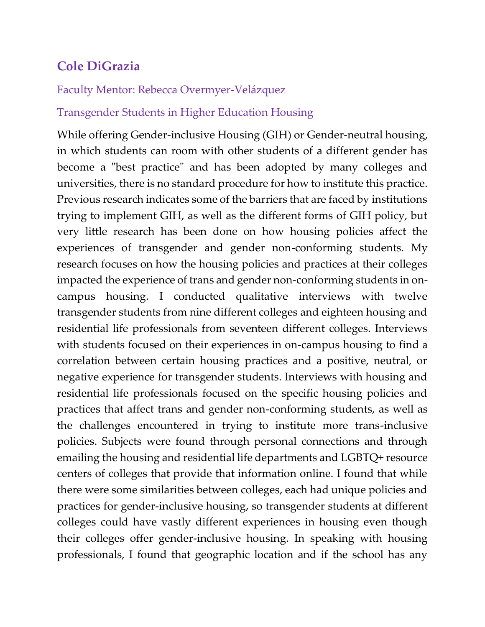# **Cole DiGrazia**

## Faculty Mentor: Rebecca Overmyer-Velázquez

## Transgender Students in Higher Education Housing

While offering Gender-inclusive Housing (GIH) or Gender-neutral housing, in which students can room with other students of a different gender has become a "best practice" and has been adopted by many colleges and universities, there is no standard procedure for how to institute this practice. Previous research indicates some of the barriers that are faced by institutions trying to implement GIH, as well as the different forms of GIH policy, but very little research has been done on how housing policies affect the experiences of transgender and gender non-conforming students. My research focuses on how the housing policies and practices at their colleges impacted the experience of trans and gender non-conforming students in oncampus housing. I conducted qualitative interviews with twelve transgender students from nine different colleges and eighteen housing and residential life professionals from seventeen different colleges. Interviews with students focused on their experiences in on-campus housing to find a correlation between certain housing practices and a positive, neutral, or negative experience for transgender students. Interviews with housing and residential life professionals focused on the specific housing policies and practices that affect trans and gender non-conforming students, as well as the challenges encountered in trying to institute more trans-inclusive policies. Subjects were found through personal connections and through emailing the housing and residential life departments and LGBTQ+ resource centers of colleges that provide that information online. I found that while there were some similarities between colleges, each had unique policies and practices for gender-inclusive housing, so transgender students at different colleges could have vastly different experiences in housing even though their colleges offer gender-inclusive housing. In speaking with housing professionals, I found that geographic location and if the school has any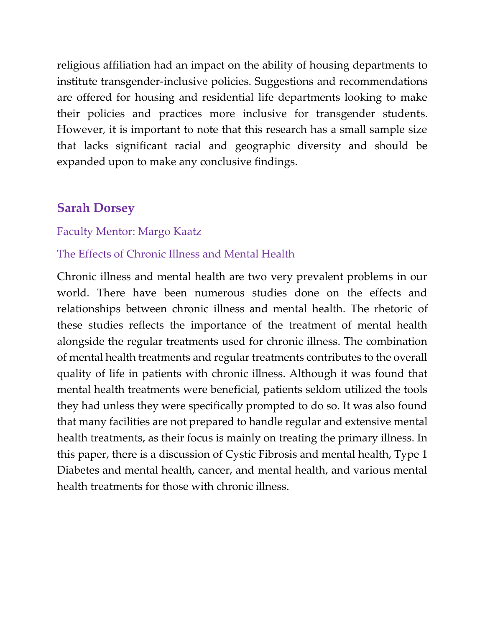religious affiliation had an impact on the ability of housing departments to institute transgender-inclusive policies. Suggestions and recommendations are offered for housing and residential life departments looking to make their policies and practices more inclusive for transgender students. However, it is important to note that this research has a small sample size that lacks significant racial and geographic diversity and should be expanded upon to make any conclusive findings.

## **Sarah Dorsey**

#### Faculty Mentor: Margo Kaatz

#### The Effects of Chronic Illness and Mental Health

Chronic illness and mental health are two very prevalent problems in our world. There have been numerous studies done on the effects and relationships between chronic illness and mental health. The rhetoric of these studies reflects the importance of the treatment of mental health alongside the regular treatments used for chronic illness. The combination of mental health treatments and regular treatments contributes to the overall quality of life in patients with chronic illness. Although it was found that mental health treatments were beneficial, patients seldom utilized the tools they had unless they were specifically prompted to do so. It was also found that many facilities are not prepared to handle regular and extensive mental health treatments, as their focus is mainly on treating the primary illness. In this paper, there is a discussion of Cystic Fibrosis and mental health, Type 1 Diabetes and mental health, cancer, and mental health, and various mental health treatments for those with chronic illness.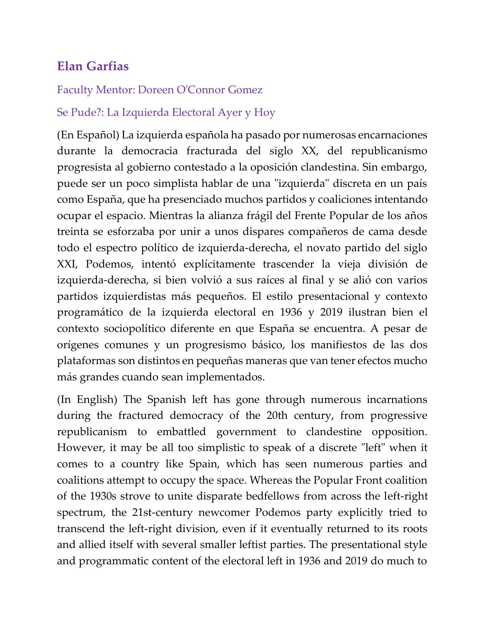# **Elan Garfias**

## Faculty Mentor: Doreen O'Connor Gomez

## Se Pude?: La Izquierda Electoral Ayer y Hoy

(En Español) La izquierda española ha pasado por numerosas encarnaciones durante la democracia fracturada del siglo XX, del republicanismo progresista al gobierno contestado a la oposición clandestina. Sin embargo, puede ser un poco simplista hablar de una "izquierda" discreta en un país como España, que ha presenciado muchos partidos y coaliciones intentando ocupar el espacio. Mientras la alianza frágil del Frente Popular de los años treinta se esforzaba por unir a unos dispares compañeros de cama desde todo el espectro político de izquierda-derecha, el novato partido del siglo XXI, Podemos, intentó explícitamente trascender la vieja división de izquierda-derecha, si bien volvió a sus raíces al final y se alió con varios partidos izquierdistas más pequeños. El estilo presentacional y contexto programático de la izquierda electoral en 1936 y 2019 ilustran bien el contexto sociopolítico diferente en que España se encuentra. A pesar de orígenes comunes y un progresismo básico, los manifiestos de las dos plataformas son distintos en pequeñas maneras que van tener efectos mucho más grandes cuando sean implementados.

(In English) The Spanish left has gone through numerous incarnations during the fractured democracy of the 20th century, from progressive republicanism to embattled government to clandestine opposition. However, it may be all too simplistic to speak of a discrete "left" when it comes to a country like Spain, which has seen numerous parties and coalitions attempt to occupy the space. Whereas the Popular Front coalition of the 1930s strove to unite disparate bedfellows from across the left-right spectrum, the 21st-century newcomer Podemos party explicitly tried to transcend the left-right division, even if it eventually returned to its roots and allied itself with several smaller leftist parties. The presentational style and programmatic content of the electoral left in 1936 and 2019 do much to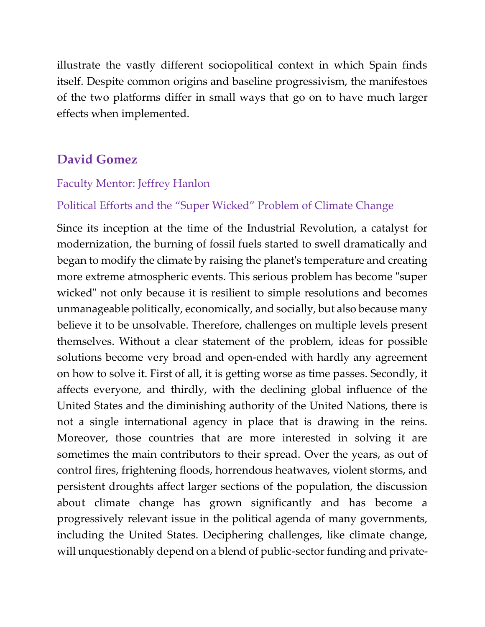illustrate the vastly different sociopolitical context in which Spain finds itself. Despite common origins and baseline progressivism, the manifestoes of the two platforms differ in small ways that go on to have much larger effects when implemented.

# **David Gomez**

### Faculty Mentor: Jeffrey Hanlon

### Political Efforts and the "Super Wicked" Problem of Climate Change

Since its inception at the time of the Industrial Revolution, a catalyst for modernization, the burning of fossil fuels started to swell dramatically and began to modify the climate by raising the planet's temperature and creating more extreme atmospheric events. This serious problem has become "super wicked" not only because it is resilient to simple resolutions and becomes unmanageable politically, economically, and socially, but also because many believe it to be unsolvable. Therefore, challenges on multiple levels present themselves. Without a clear statement of the problem, ideas for possible solutions become very broad and open-ended with hardly any agreement on how to solve it. First of all, it is getting worse as time passes. Secondly, it affects everyone, and thirdly, with the declining global influence of the United States and the diminishing authority of the United Nations, there is not a single international agency in place that is drawing in the reins. Moreover, those countries that are more interested in solving it are sometimes the main contributors to their spread. Over the years, as out of control fires, frightening floods, horrendous heatwaves, violent storms, and persistent droughts affect larger sections of the population, the discussion about climate change has grown significantly and has become a progressively relevant issue in the political agenda of many governments, including the United States. Deciphering challenges, like climate change, will unquestionably depend on a blend of public-sector funding and private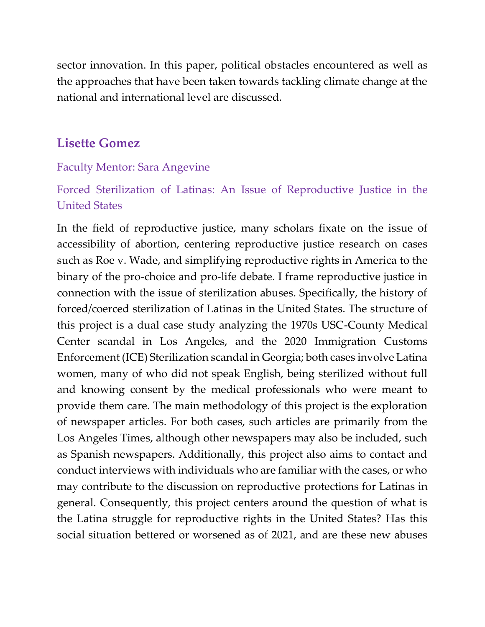sector innovation. In this paper, political obstacles encountered as well as the approaches that have been taken towards tackling climate change at the national and international level are discussed.

## **Lisette Gomez**

### Faculty Mentor: Sara Angevine

# Forced Sterilization of Latinas: An Issue of Reproductive Justice in the United States

In the field of reproductive justice, many scholars fixate on the issue of accessibility of abortion, centering reproductive justice research on cases such as Roe v. Wade, and simplifying reproductive rights in America to the binary of the pro-choice and pro-life debate. I frame reproductive justice in connection with the issue of sterilization abuses. Specifically, the history of forced/coerced sterilization of Latinas in the United States. The structure of this project is a dual case study analyzing the 1970s USC-County Medical Center scandal in Los Angeles, and the 2020 Immigration Customs Enforcement (ICE) Sterilization scandal in Georgia; both cases involve Latina women, many of who did not speak English, being sterilized without full and knowing consent by the medical professionals who were meant to provide them care. The main methodology of this project is the exploration of newspaper articles. For both cases, such articles are primarily from the Los Angeles Times, although other newspapers may also be included, such as Spanish newspapers. Additionally, this project also aims to contact and conduct interviews with individuals who are familiar with the cases, or who may contribute to the discussion on reproductive protections for Latinas in general. Consequently, this project centers around the question of what is the Latina struggle for reproductive rights in the United States? Has this social situation bettered or worsened as of 2021, and are these new abuses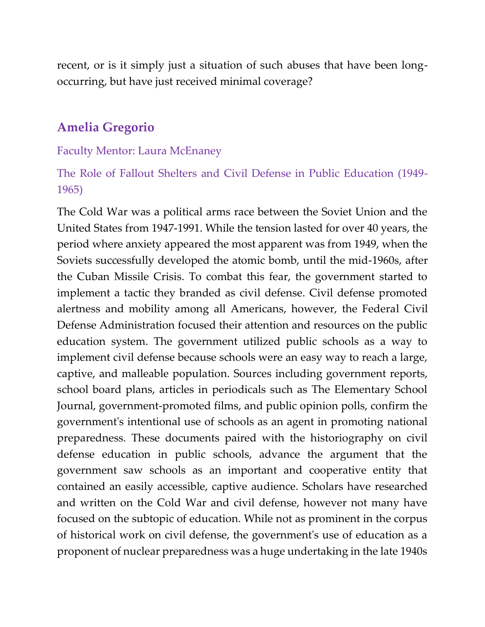recent, or is it simply just a situation of such abuses that have been longoccurring, but have just received minimal coverage?

## **Amelia Gregorio**

#### Faculty Mentor: Laura McEnaney

## The Role of Fallout Shelters and Civil Defense in Public Education (1949- 1965)

The Cold War was a political arms race between the Soviet Union and the United States from 1947-1991. While the tension lasted for over 40 years, the period where anxiety appeared the most apparent was from 1949, when the Soviets successfully developed the atomic bomb, until the mid-1960s, after the Cuban Missile Crisis. To combat this fear, the government started to implement a tactic they branded as civil defense. Civil defense promoted alertness and mobility among all Americans, however, the Federal Civil Defense Administration focused their attention and resources on the public education system. The government utilized public schools as a way to implement civil defense because schools were an easy way to reach a large, captive, and malleable population. Sources including government reports, school board plans, articles in periodicals such as The Elementary School Journal, government-promoted films, and public opinion polls, confirm the government's intentional use of schools as an agent in promoting national preparedness. These documents paired with the historiography on civil defense education in public schools, advance the argument that the government saw schools as an important and cooperative entity that contained an easily accessible, captive audience. Scholars have researched and written on the Cold War and civil defense, however not many have focused on the subtopic of education. While not as prominent in the corpus of historical work on civil defense, the government's use of education as a proponent of nuclear preparedness was a huge undertaking in the late 1940s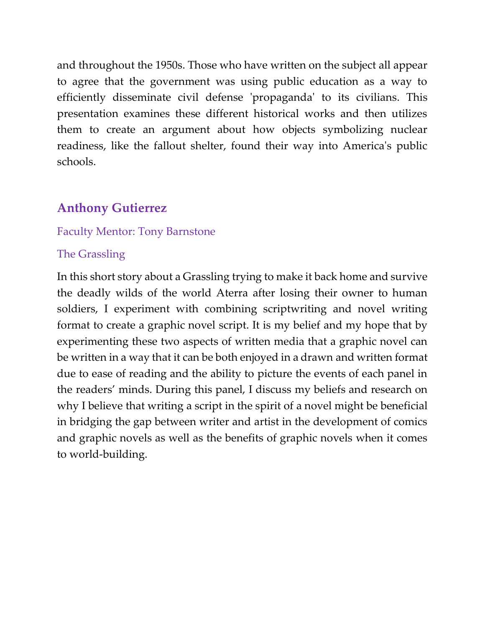and throughout the 1950s. Those who have written on the subject all appear to agree that the government was using public education as a way to efficiently disseminate civil defense 'propaganda' to its civilians. This presentation examines these different historical works and then utilizes them to create an argument about how objects symbolizing nuclear readiness, like the fallout shelter, found their way into America's public schools.

# **Anthony Gutierrez**

### Faculty Mentor: Tony Barnstone

### The Grassling

In this short story about a Grassling trying to make it back home and survive the deadly wilds of the world Aterra after losing their owner to human soldiers, I experiment with combining scriptwriting and novel writing format to create a graphic novel script. It is my belief and my hope that by experimenting these two aspects of written media that a graphic novel can be written in a way that it can be both enjoyed in a drawn and written format due to ease of reading and the ability to picture the events of each panel in the readers' minds. During this panel, I discuss my beliefs and research on why I believe that writing a script in the spirit of a novel might be beneficial in bridging the gap between writer and artist in the development of comics and graphic novels as well as the benefits of graphic novels when it comes to world-building.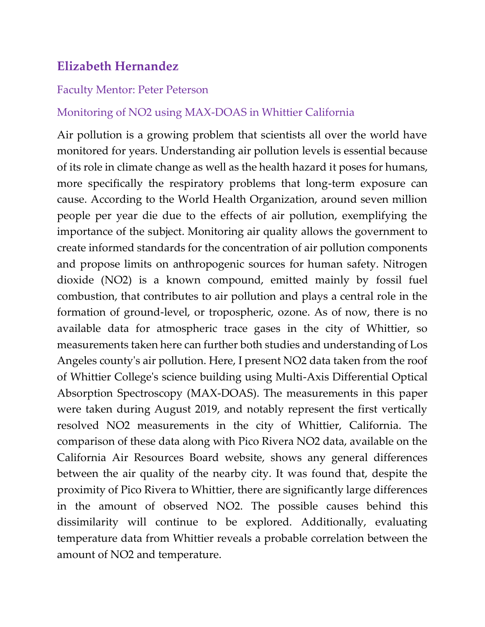# **Elizabeth Hernandez**

#### Faculty Mentor: Peter Peterson

### Monitoring of NO2 using MAX-DOAS in Whittier California

Air pollution is a growing problem that scientists all over the world have monitored for years. Understanding air pollution levels is essential because of its role in climate change as well as the health hazard it poses for humans, more specifically the respiratory problems that long-term exposure can cause. According to the World Health Organization, around seven million people per year die due to the effects of air pollution, exemplifying the importance of the subject. Monitoring air quality allows the government to create informed standards for the concentration of air pollution components and propose limits on anthropogenic sources for human safety. Nitrogen dioxide (NO2) is a known compound, emitted mainly by fossil fuel combustion, that contributes to air pollution and plays a central role in the formation of ground-level, or tropospheric, ozone. As of now, there is no available data for atmospheric trace gases in the city of Whittier, so measurements taken here can further both studies and understanding of Los Angeles county's air pollution. Here, I present NO2 data taken from the roof of Whittier College's science building using Multi-Axis Differential Optical Absorption Spectroscopy (MAX-DOAS). The measurements in this paper were taken during August 2019, and notably represent the first vertically resolved NO2 measurements in the city of Whittier, California. The comparison of these data along with Pico Rivera NO2 data, available on the California Air Resources Board website, shows any general differences between the air quality of the nearby city. It was found that, despite the proximity of Pico Rivera to Whittier, there are significantly large differences in the amount of observed NO2. The possible causes behind this dissimilarity will continue to be explored. Additionally, evaluating temperature data from Whittier reveals a probable correlation between the amount of NO2 and temperature.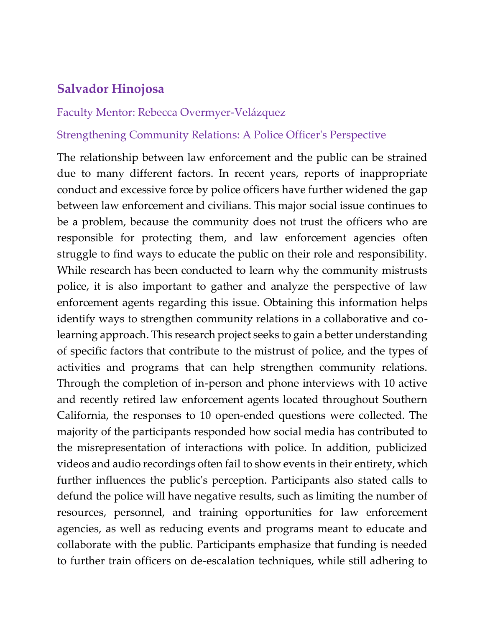## **Salvador Hinojosa**

#### Faculty Mentor: Rebecca Overmyer-Velázquez

#### Strengthening Community Relations: A Police Officer's Perspective

The relationship between law enforcement and the public can be strained due to many different factors. In recent years, reports of inappropriate conduct and excessive force by police officers have further widened the gap between law enforcement and civilians. This major social issue continues to be a problem, because the community does not trust the officers who are responsible for protecting them, and law enforcement agencies often struggle to find ways to educate the public on their role and responsibility. While research has been conducted to learn why the community mistrusts police, it is also important to gather and analyze the perspective of law enforcement agents regarding this issue. Obtaining this information helps identify ways to strengthen community relations in a collaborative and colearning approach. This research project seeks to gain a better understanding of specific factors that contribute to the mistrust of police, and the types of activities and programs that can help strengthen community relations. Through the completion of in-person and phone interviews with 10 active and recently retired law enforcement agents located throughout Southern California, the responses to 10 open-ended questions were collected. The majority of the participants responded how social media has contributed to the misrepresentation of interactions with police. In addition, publicized videos and audio recordings often fail to show events in their entirety, which further influences the public's perception. Participants also stated calls to defund the police will have negative results, such as limiting the number of resources, personnel, and training opportunities for law enforcement agencies, as well as reducing events and programs meant to educate and collaborate with the public. Participants emphasize that funding is needed to further train officers on de-escalation techniques, while still adhering to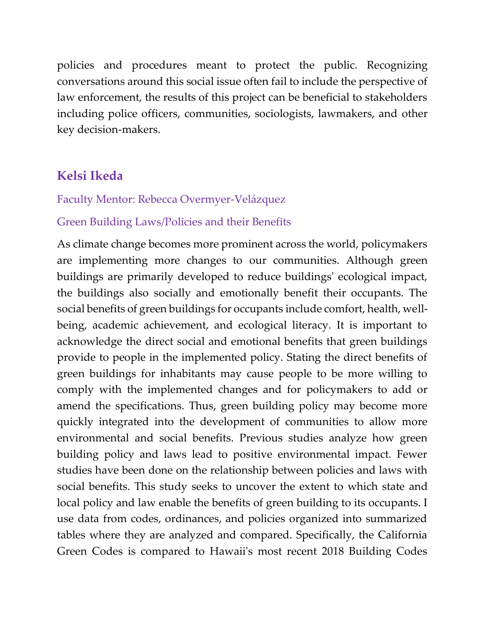policies and procedures meant to protect the public. Recognizing conversations around this social issue often fail to include the perspective of law enforcement, the results of this project can be beneficial to stakeholders including police officers, communities, sociologists, lawmakers, and other key decision-makers.

# **Kelsi Ikeda**

### Faculty Mentor: Rebecca Overmyer-Velázquez

### Green Building Laws/Policies and their Benefits

As climate change becomes more prominent across the world, policymakers are implementing more changes to our communities. Although green buildings are primarily developed to reduce buildings' ecological impact, the buildings also socially and emotionally benefit their occupants. The social benefits of green buildings for occupants include comfort, health, wellbeing, academic achievement, and ecological literacy. It is important to acknowledge the direct social and emotional benefits that green buildings provide to people in the implemented policy. Stating the direct benefits of green buildings for inhabitants may cause people to be more willing to comply with the implemented changes and for policymakers to add or amend the specifications. Thus, green building policy may become more quickly integrated into the development of communities to allow more environmental and social benefits. Previous studies analyze how green building policy and laws lead to positive environmental impact. Fewer studies have been done on the relationship between policies and laws with social benefits. This study seeks to uncover the extent to which state and local policy and law enable the benefits of green building to its occupants. I use data from codes, ordinances, and policies organized into summarized tables where they are analyzed and compared. Specifically, the California Green Codes is compared to Hawaii's most recent 2018 Building Codes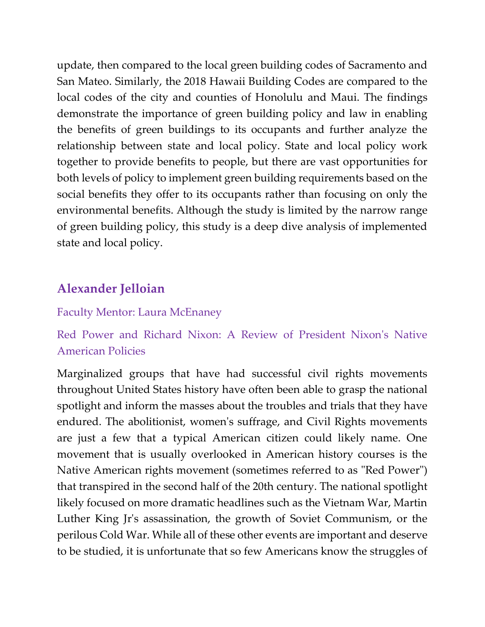update, then compared to the local green building codes of Sacramento and San Mateo. Similarly, the 2018 Hawaii Building Codes are compared to the local codes of the city and counties of Honolulu and Maui. The findings demonstrate the importance of green building policy and law in enabling the benefits of green buildings to its occupants and further analyze the relationship between state and local policy. State and local policy work together to provide benefits to people, but there are vast opportunities for both levels of policy to implement green building requirements based on the social benefits they offer to its occupants rather than focusing on only the environmental benefits. Although the study is limited by the narrow range of green building policy, this study is a deep dive analysis of implemented state and local policy.

# **Alexander Jelloian**

### Faculty Mentor: Laura McEnaney

# Red Power and Richard Nixon: A Review of President Nixon's Native American Policies

Marginalized groups that have had successful civil rights movements throughout United States history have often been able to grasp the national spotlight and inform the masses about the troubles and trials that they have endured. The abolitionist, women's suffrage, and Civil Rights movements are just a few that a typical American citizen could likely name. One movement that is usually overlooked in American history courses is the Native American rights movement (sometimes referred to as "Red Power") that transpired in the second half of the 20th century. The national spotlight likely focused on more dramatic headlines such as the Vietnam War, Martin Luther King Jr's assassination, the growth of Soviet Communism, or the perilous Cold War. While all of these other events are important and deserve to be studied, it is unfortunate that so few Americans know the struggles of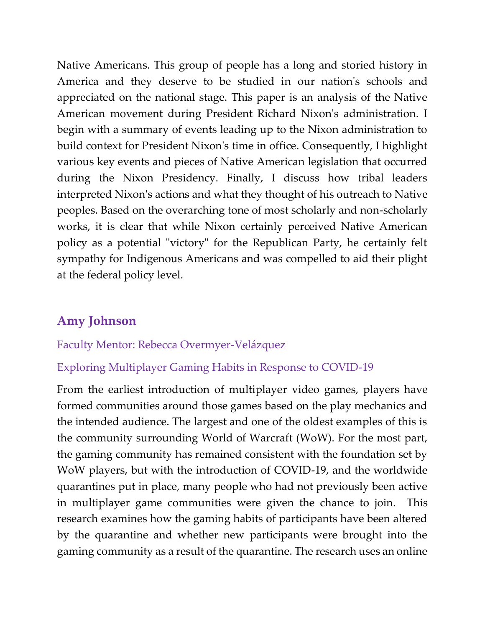Native Americans. This group of people has a long and storied history in America and they deserve to be studied in our nation's schools and appreciated on the national stage. This paper is an analysis of the Native American movement during President Richard Nixon's administration. I begin with a summary of events leading up to the Nixon administration to build context for President Nixon's time in office. Consequently, I highlight various key events and pieces of Native American legislation that occurred during the Nixon Presidency. Finally, I discuss how tribal leaders interpreted Nixon's actions and what they thought of his outreach to Native peoples. Based on the overarching tone of most scholarly and non-scholarly works, it is clear that while Nixon certainly perceived Native American policy as a potential "victory" for the Republican Party, he certainly felt sympathy for Indigenous Americans and was compelled to aid their plight at the federal policy level.

# **Amy Johnson**

#### Faculty Mentor: Rebecca Overmyer-Velázquez

### Exploring Multiplayer Gaming Habits in Response to COVID-19

From the earliest introduction of multiplayer video games, players have formed communities around those games based on the play mechanics and the intended audience. The largest and one of the oldest examples of this is the community surrounding World of Warcraft (WoW). For the most part, the gaming community has remained consistent with the foundation set by WoW players, but with the introduction of COVID-19, and the worldwide quarantines put in place, many people who had not previously been active in multiplayer game communities were given the chance to join. This research examines how the gaming habits of participants have been altered by the quarantine and whether new participants were brought into the gaming community as a result of the quarantine. The research uses an online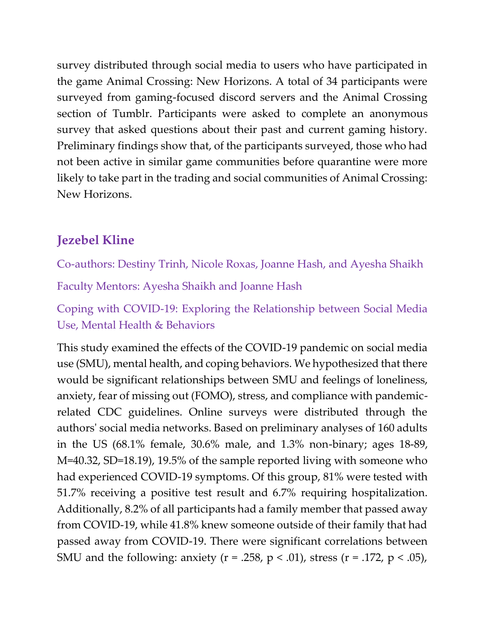survey distributed through social media to users who have participated in the game Animal Crossing: New Horizons. A total of 34 participants were surveyed from gaming-focused discord servers and the Animal Crossing section of Tumblr. Participants were asked to complete an anonymous survey that asked questions about their past and current gaming history. Preliminary findings show that, of the participants surveyed, those who had not been active in similar game communities before quarantine were more likely to take part in the trading and social communities of Animal Crossing: New Horizons.

# **Jezebel Kline**

Co-authors: Destiny Trinh, Nicole Roxas, Joanne Hash, and Ayesha Shaikh

Faculty Mentors: Ayesha Shaikh and Joanne Hash

Coping with COVID-19: Exploring the Relationship between Social Media Use, Mental Health & Behaviors

This study examined the effects of the COVID-19 pandemic on social media use (SMU), mental health, and coping behaviors. We hypothesized that there would be significant relationships between SMU and feelings of loneliness, anxiety, fear of missing out (FOMO), stress, and compliance with pandemicrelated CDC guidelines. Online surveys were distributed through the authors' social media networks. Based on preliminary analyses of 160 adults in the US (68.1% female, 30.6% male, and 1.3% non-binary; ages 18-89, M=40.32, SD=18.19), 19.5% of the sample reported living with someone who had experienced COVID-19 symptoms. Of this group, 81% were tested with 51.7% receiving a positive test result and 6.7% requiring hospitalization. Additionally, 8.2% of all participants had a family member that passed away from COVID-19, while 41.8% knew someone outside of their family that had passed away from COVID-19. There were significant correlations between SMU and the following: anxiety ( $r = .258$ ,  $p < .01$ ), stress ( $r = .172$ ,  $p < .05$ ),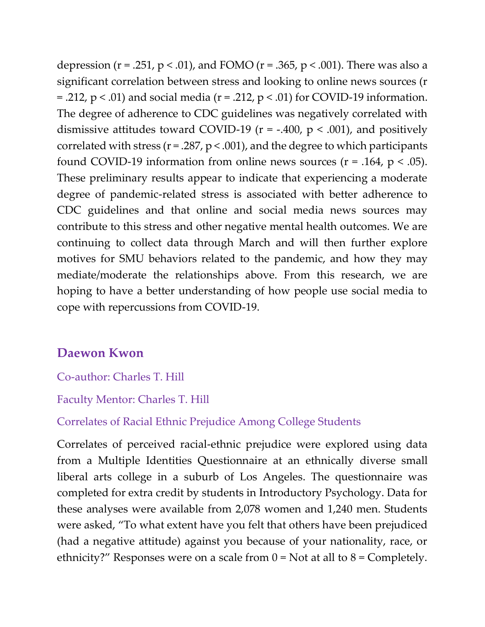depression ( $r = .251$ ,  $p < .01$ ), and FOMO ( $r = .365$ ,  $p < .001$ ). There was also a significant correlation between stress and looking to online news sources (r = .212,  $p < .01$ ) and social media ( $r = .212$ ,  $p < .01$ ) for COVID-19 information. The degree of adherence to CDC guidelines was negatively correlated with dismissive attitudes toward COVID-19 ( $r = -400$ ,  $p < .001$ ), and positively correlated with stress ( $r = 0.287$ ,  $p < 0.001$ ), and the degree to which participants found COVID-19 information from online news sources ( $r = .164$ ,  $p < .05$ ). These preliminary results appear to indicate that experiencing a moderate degree of pandemic-related stress is associated with better adherence to CDC guidelines and that online and social media news sources may contribute to this stress and other negative mental health outcomes. We are continuing to collect data through March and will then further explore motives for SMU behaviors related to the pandemic, and how they may mediate/moderate the relationships above. From this research, we are hoping to have a better understanding of how people use social media to cope with repercussions from COVID-19.

## **Daewon Kwon**

Co-author: Charles T. Hill

Faculty Mentor: Charles T. Hill

Correlates of Racial Ethnic Prejudice Among College Students

Correlates of perceived racial-ethnic prejudice were explored using data from a Multiple Identities Questionnaire at an ethnically diverse small liberal arts college in a suburb of Los Angeles. The questionnaire was completed for extra credit by students in Introductory Psychology. Data for these analyses were available from 2,078 women and 1,240 men. Students were asked, "To what extent have you felt that others have been prejudiced (had a negative attitude) against you because of your nationality, race, or ethnicity?" Responses were on a scale from  $0 = Not$  at all to  $8 = Completely$ .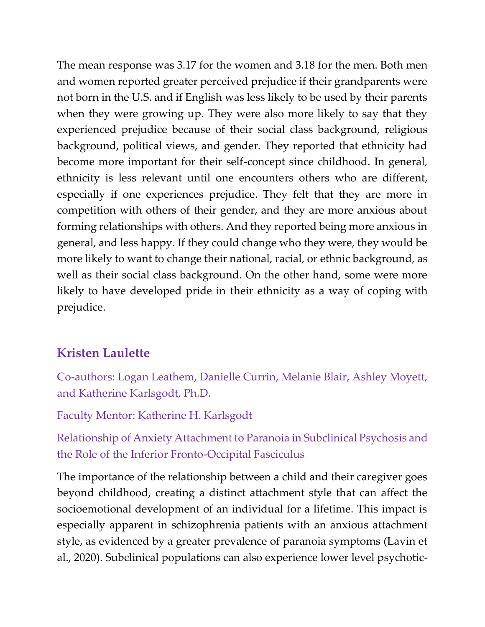The mean response was 3.17 for the women and 3.18 for the men. Both men and women reported greater perceived prejudice if their grandparents were not born in the U.S. and if English was less likely to be used by their parents when they were growing up. They were also more likely to say that they experienced prejudice because of their social class background, religious background, political views, and gender. They reported that ethnicity had become more important for their self-concept since childhood. In general, ethnicity is less relevant until one encounters others who are different, especially if one experiences prejudice. They felt that they are more in competition with others of their gender, and they are more anxious about forming relationships with others. And they reported being more anxious in general, and less happy. If they could change who they were, they would be more likely to want to change their national, racial, or ethnic background, as well as their social class background. On the other hand, some were more likely to have developed pride in their ethnicity as a way of coping with prejudice.

# **Kristen Laulette**

Co-authors: Logan Leathem, Danielle Currin, Melanie Blair, Ashley Moyett, and Katherine Karlsgodt, Ph.D.

Faculty Mentor: Katherine H. Karlsgodt

Relationship of Anxiety Attachment to Paranoia in Subclinical Psychosis and the Role of the Inferior Fronto-Occipital Fasciculus

The importance of the relationship between a child and their caregiver goes beyond childhood, creating a distinct attachment style that can affect the socioemotional development of an individual for a lifetime. This impact is especially apparent in schizophrenia patients with an anxious attachment style, as evidenced by a greater prevalence of paranoia symptoms (Lavin et al., 2020). Subclinical populations can also experience lower level psychotic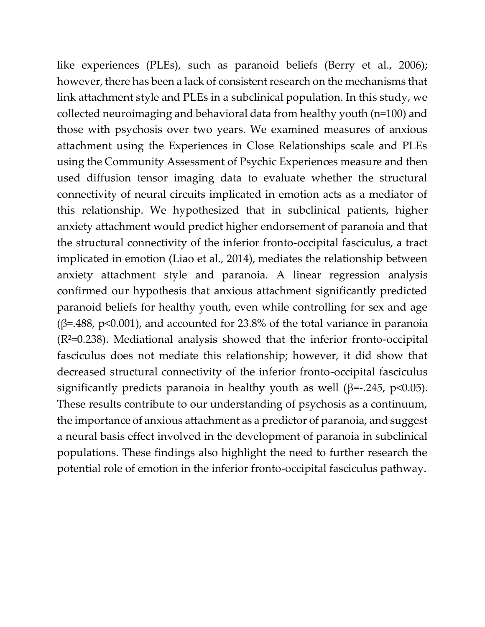like experiences (PLEs), such as paranoid beliefs (Berry et al., 2006); however, there has been a lack of consistent research on the mechanisms that link attachment style and PLEs in a subclinical population. In this study, we collected neuroimaging and behavioral data from healthy youth (n=100) and those with psychosis over two years. We examined measures of anxious attachment using the Experiences in Close Relationships scale and PLEs using the Community Assessment of Psychic Experiences measure and then used diffusion tensor imaging data to evaluate whether the structural connectivity of neural circuits implicated in emotion acts as a mediator of this relationship. We hypothesized that in subclinical patients, higher anxiety attachment would predict higher endorsement of paranoia and that the structural connectivity of the inferior fronto-occipital fasciculus, a tract implicated in emotion (Liao et al., 2014), mediates the relationship between anxiety attachment style and paranoia. A linear regression analysis confirmed our hypothesis that anxious attachment significantly predicted paranoid beliefs for healthy youth, even while controlling for sex and age (β=.488, p<0.001), and accounted for 23.8% of the total variance in paranoia (R²=0.238). Mediational analysis showed that the inferior fronto-occipital fasciculus does not mediate this relationship; however, it did show that decreased structural connectivity of the inferior fronto-occipital fasciculus significantly predicts paranoia in healthy youth as well ( $\beta$ =-.245, p<0.05). These results contribute to our understanding of psychosis as a continuum, the importance of anxious attachment as a predictor of paranoia, and suggest a neural basis effect involved in the development of paranoia in subclinical populations. These findings also highlight the need to further research the potential role of emotion in the inferior fronto-occipital fasciculus pathway.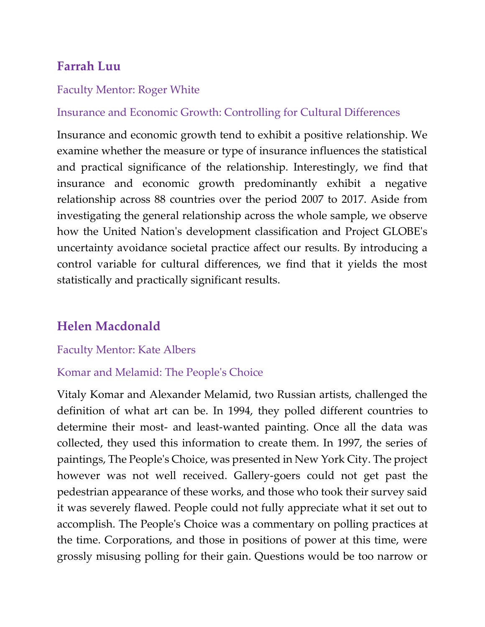# **Farrah Luu**

#### Faculty Mentor: Roger White

### Insurance and Economic Growth: Controlling for Cultural Differences

Insurance and economic growth tend to exhibit a positive relationship. We examine whether the measure or type of insurance influences the statistical and practical significance of the relationship. Interestingly, we find that insurance and economic growth predominantly exhibit a negative relationship across 88 countries over the period 2007 to 2017. Aside from investigating the general relationship across the whole sample, we observe how the United Nation's development classification and Project GLOBE's uncertainty avoidance societal practice affect our results. By introducing a control variable for cultural differences, we find that it yields the most statistically and practically significant results.

# **Helen Macdonald**

#### Faculty Mentor: Kate Albers

### Komar and Melamid: The People's Choice

Vitaly Komar and Alexander Melamid, two Russian artists, challenged the definition of what art can be. In 1994, they polled different countries to determine their most- and least-wanted painting. Once all the data was collected, they used this information to create them. In 1997, the series of paintings, The People's Choice, was presented in New York City. The project however was not well received. Gallery-goers could not get past the pedestrian appearance of these works, and those who took their survey said it was severely flawed. People could not fully appreciate what it set out to accomplish. The People's Choice was a commentary on polling practices at the time. Corporations, and those in positions of power at this time, were grossly misusing polling for their gain. Questions would be too narrow or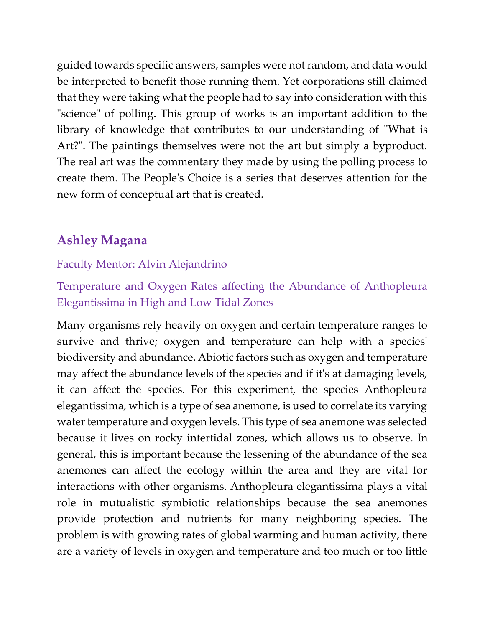guided towards specific answers, samples were not random, and data would be interpreted to benefit those running them. Yet corporations still claimed that they were taking what the people had to say into consideration with this "science" of polling. This group of works is an important addition to the library of knowledge that contributes to our understanding of "What is Art?". The paintings themselves were not the art but simply a byproduct. The real art was the commentary they made by using the polling process to create them. The People's Choice is a series that deserves attention for the new form of conceptual art that is created.

# **Ashley Magana**

## Faculty Mentor: Alvin Alejandrino

Temperature and Oxygen Rates affecting the Abundance of Anthopleura Elegantissima in High and Low Tidal Zones

Many organisms rely heavily on oxygen and certain temperature ranges to survive and thrive; oxygen and temperature can help with a species' biodiversity and abundance. Abiotic factors such as oxygen and temperature may affect the abundance levels of the species and if it's at damaging levels, it can affect the species. For this experiment, the species Anthopleura elegantissima, which is a type of sea anemone, is used to correlate its varying water temperature and oxygen levels. This type of sea anemone was selected because it lives on rocky intertidal zones, which allows us to observe. In general, this is important because the lessening of the abundance of the sea anemones can affect the ecology within the area and they are vital for interactions with other organisms. Anthopleura elegantissima plays a vital role in mutualistic symbiotic relationships because the sea anemones provide protection and nutrients for many neighboring species. The problem is with growing rates of global warming and human activity, there are a variety of levels in oxygen and temperature and too much or too little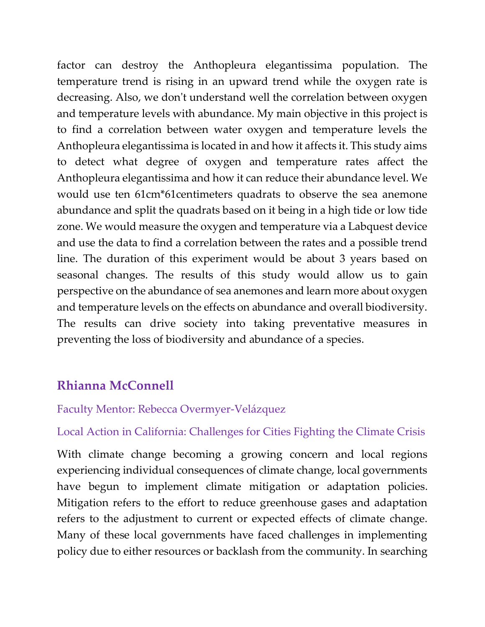factor can destroy the Anthopleura elegantissima population. The temperature trend is rising in an upward trend while the oxygen rate is decreasing. Also, we don't understand well the correlation between oxygen and temperature levels with abundance. My main objective in this project is to find a correlation between water oxygen and temperature levels the Anthopleura elegantissima is located in and how it affects it. This study aims to detect what degree of oxygen and temperature rates affect the Anthopleura elegantissima and how it can reduce their abundance level. We would use ten 61cm\*61centimeters quadrats to observe the sea anemone abundance and split the quadrats based on it being in a high tide or low tide zone. We would measure the oxygen and temperature via a Labquest device and use the data to find a correlation between the rates and a possible trend line. The duration of this experiment would be about 3 years based on seasonal changes. The results of this study would allow us to gain perspective on the abundance of sea anemones and learn more about oxygen and temperature levels on the effects on abundance and overall biodiversity. The results can drive society into taking preventative measures in preventing the loss of biodiversity and abundance of a species.

## **Rhianna McConnell**

### Faculty Mentor: Rebecca Overmyer-Velázquez

Local Action in California: Challenges for Cities Fighting the Climate Crisis

With climate change becoming a growing concern and local regions experiencing individual consequences of climate change, local governments have begun to implement climate mitigation or adaptation policies. Mitigation refers to the effort to reduce greenhouse gases and adaptation refers to the adjustment to current or expected effects of climate change. Many of these local governments have faced challenges in implementing policy due to either resources or backlash from the community. In searching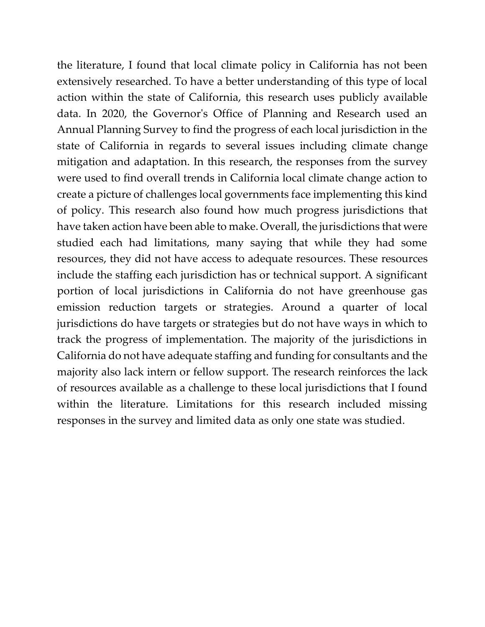the literature, I found that local climate policy in California has not been extensively researched. To have a better understanding of this type of local action within the state of California, this research uses publicly available data. In 2020, the Governor's Office of Planning and Research used an Annual Planning Survey to find the progress of each local jurisdiction in the state of California in regards to several issues including climate change mitigation and adaptation. In this research, the responses from the survey were used to find overall trends in California local climate change action to create a picture of challenges local governments face implementing this kind of policy. This research also found how much progress jurisdictions that have taken action have been able to make. Overall, the jurisdictions that were studied each had limitations, many saying that while they had some resources, they did not have access to adequate resources. These resources include the staffing each jurisdiction has or technical support. A significant portion of local jurisdictions in California do not have greenhouse gas emission reduction targets or strategies. Around a quarter of local jurisdictions do have targets or strategies but do not have ways in which to track the progress of implementation. The majority of the jurisdictions in California do not have adequate staffing and funding for consultants and the majority also lack intern or fellow support. The research reinforces the lack of resources available as a challenge to these local jurisdictions that I found within the literature. Limitations for this research included missing responses in the survey and limited data as only one state was studied.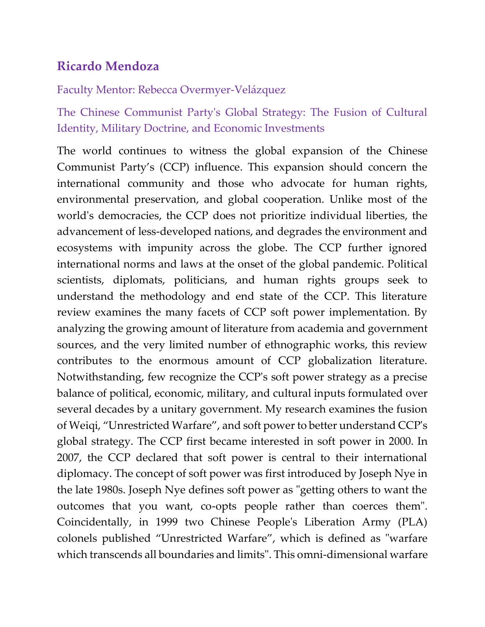# **Ricardo Mendoza**

## Faculty Mentor: Rebecca Overmyer-Velázquez

The Chinese Communist Party's Global Strategy: The Fusion of Cultural Identity, Military Doctrine, and Economic Investments

The world continues to witness the global expansion of the Chinese Communist Party's (CCP) influence. This expansion should concern the international community and those who advocate for human rights, environmental preservation, and global cooperation. Unlike most of the world's democracies, the CCP does not prioritize individual liberties, the advancement of less-developed nations, and degrades the environment and ecosystems with impunity across the globe. The CCP further ignored international norms and laws at the onset of the global pandemic. Political scientists, diplomats, politicians, and human rights groups seek to understand the methodology and end state of the CCP. This literature review examines the many facets of CCP soft power implementation. By analyzing the growing amount of literature from academia and government sources, and the very limited number of ethnographic works, this review contributes to the enormous amount of CCP globalization literature. Notwithstanding, few recognize the CCP's soft power strategy as a precise balance of political, economic, military, and cultural inputs formulated over several decades by a unitary government. My research examines the fusion of Weiqi, "Unrestricted Warfare", and soft power to better understand CCP's global strategy. The CCP first became interested in soft power in 2000. In 2007, the CCP declared that soft power is central to their international diplomacy. The concept of soft power was first introduced by Joseph Nye in the late 1980s. Joseph Nye defines soft power as "getting others to want the outcomes that you want, co-opts people rather than coerces them". Coincidentally, in 1999 two Chinese People's Liberation Army (PLA) colonels published "Unrestricted Warfare", which is defined as "warfare which transcends all boundaries and limits". This omni-dimensional warfare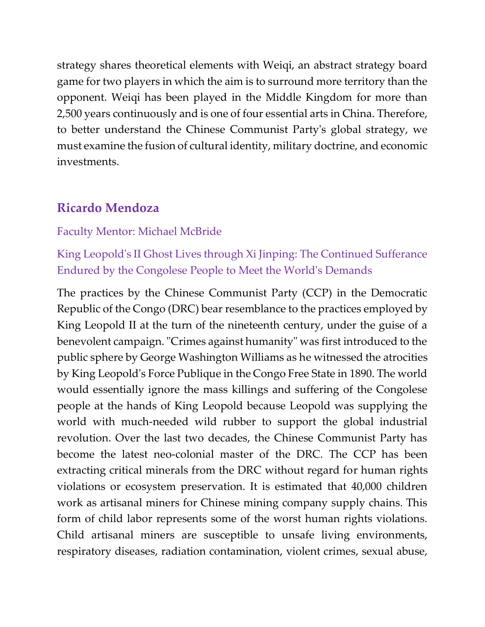strategy shares theoretical elements with Weiqi, an abstract strategy board game for two players in which the aim is to surround more territory than the opponent. Weiqi has been played in the Middle Kingdom for more than 2,500 years continuously and is one of four essential arts in China. Therefore, to better understand the Chinese Communist Party's global strategy, we must examine the fusion of cultural identity, military doctrine, and economic investments.

## **Ricardo Mendoza**

### Faculty Mentor: Michael McBride

## King Leopold's II Ghost Lives through Xi Jinping: The Continued Sufferance Endured by the Congolese People to Meet the World's Demands

The practices by the Chinese Communist Party (CCP) in the Democratic Republic of the Congo (DRC) bear resemblance to the practices employed by King Leopold II at the turn of the nineteenth century, under the guise of a benevolent campaign. "Crimes against humanity" was first introduced to the public sphere by George Washington Williams as he witnessed the atrocities by King Leopold's Force Publique in the Congo Free State in 1890. The world would essentially ignore the mass killings and suffering of the Congolese people at the hands of King Leopold because Leopold was supplying the world with much-needed wild rubber to support the global industrial revolution. Over the last two decades, the Chinese Communist Party has become the latest neo-colonial master of the DRC. The CCP has been extracting critical minerals from the DRC without regard for human rights violations or ecosystem preservation. It is estimated that 40,000 children work as artisanal miners for Chinese mining company supply chains. This form of child labor represents some of the worst human rights violations. Child artisanal miners are susceptible to unsafe living environments, respiratory diseases, radiation contamination, violent crimes, sexual abuse,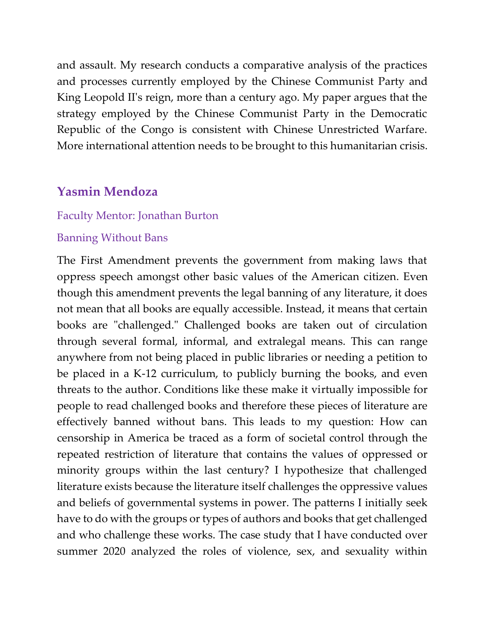and assault. My research conducts a comparative analysis of the practices and processes currently employed by the Chinese Communist Party and King Leopold II's reign, more than a century ago. My paper argues that the strategy employed by the Chinese Communist Party in the Democratic Republic of the Congo is consistent with Chinese Unrestricted Warfare. More international attention needs to be brought to this humanitarian crisis.

## **Yasmin Mendoza**

#### Faculty Mentor: Jonathan Burton

#### Banning Without Bans

The First Amendment prevents the government from making laws that oppress speech amongst other basic values of the American citizen. Even though this amendment prevents the legal banning of any literature, it does not mean that all books are equally accessible. Instead, it means that certain books are "challenged." Challenged books are taken out of circulation through several formal, informal, and extralegal means. This can range anywhere from not being placed in public libraries or needing a petition to be placed in a K-12 curriculum, to publicly burning the books, and even threats to the author. Conditions like these make it virtually impossible for people to read challenged books and therefore these pieces of literature are effectively banned without bans. This leads to my question: How can censorship in America be traced as a form of societal control through the repeated restriction of literature that contains the values of oppressed or minority groups within the last century? I hypothesize that challenged literature exists because the literature itself challenges the oppressive values and beliefs of governmental systems in power. The patterns I initially seek have to do with the groups or types of authors and books that get challenged and who challenge these works. The case study that I have conducted over summer 2020 analyzed the roles of violence, sex, and sexuality within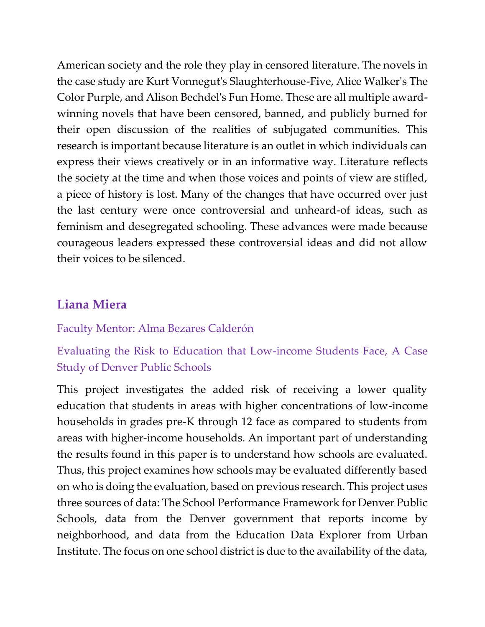American society and the role they play in censored literature. The novels in the case study are Kurt Vonnegut's Slaughterhouse-Five, Alice Walker's The Color Purple, and Alison Bechdel's Fun Home. These are all multiple awardwinning novels that have been censored, banned, and publicly burned for their open discussion of the realities of subjugated communities. This research is important because literature is an outlet in which individuals can express their views creatively or in an informative way. Literature reflects the society at the time and when those voices and points of view are stifled, a piece of history is lost. Many of the changes that have occurred over just the last century were once controversial and unheard-of ideas, such as feminism and desegregated schooling. These advances were made because courageous leaders expressed these controversial ideas and did not allow their voices to be silenced.

## **Liana Miera**

#### Faculty Mentor: Alma Bezares Calderón

# Evaluating the Risk to Education that Low-income Students Face, A Case Study of Denver Public Schools

This project investigates the added risk of receiving a lower quality education that students in areas with higher concentrations of low-income households in grades pre-K through 12 face as compared to students from areas with higher-income households. An important part of understanding the results found in this paper is to understand how schools are evaluated. Thus, this project examines how schools may be evaluated differently based on who is doing the evaluation, based on previous research. This project uses three sources of data: The School Performance Framework for Denver Public Schools, data from the Denver government that reports income by neighborhood, and data from the Education Data Explorer from Urban Institute. The focus on one school district is due to the availability of the data,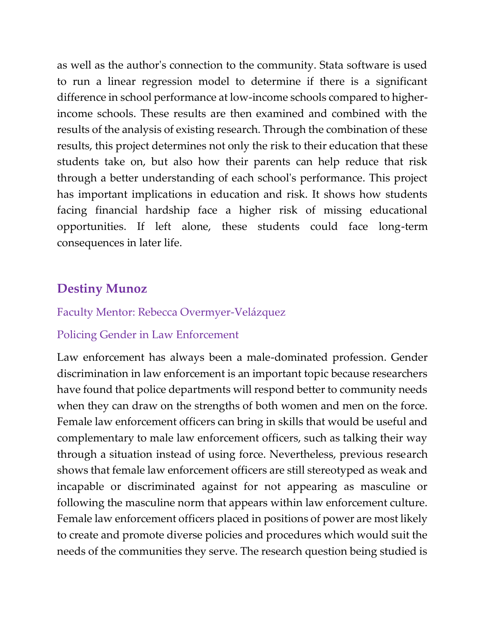as well as the author's connection to the community. Stata software is used to run a linear regression model to determine if there is a significant difference in school performance at low-income schools compared to higherincome schools. These results are then examined and combined with the results of the analysis of existing research. Through the combination of these results, this project determines not only the risk to their education that these students take on, but also how their parents can help reduce that risk through a better understanding of each school's performance. This project has important implications in education and risk. It shows how students facing financial hardship face a higher risk of missing educational opportunities. If left alone, these students could face long-term consequences in later life.

## **Destiny Munoz**

#### Faculty Mentor: Rebecca Overmyer-Velázquez

#### Policing Gender in Law Enforcement

Law enforcement has always been a male-dominated profession. Gender discrimination in law enforcement is an important topic because researchers have found that police departments will respond better to community needs when they can draw on the strengths of both women and men on the force. Female law enforcement officers can bring in skills that would be useful and complementary to male law enforcement officers, such as talking their way through a situation instead of using force. Nevertheless, previous research shows that female law enforcement officers are still stereotyped as weak and incapable or discriminated against for not appearing as masculine or following the masculine norm that appears within law enforcement culture. Female law enforcement officers placed in positions of power are most likely to create and promote diverse policies and procedures which would suit the needs of the communities they serve. The research question being studied is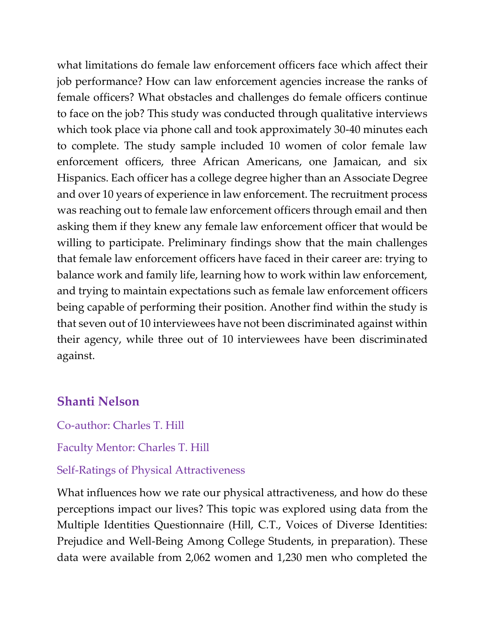what limitations do female law enforcement officers face which affect their job performance? How can law enforcement agencies increase the ranks of female officers? What obstacles and challenges do female officers continue to face on the job? This study was conducted through qualitative interviews which took place via phone call and took approximately 30-40 minutes each to complete. The study sample included 10 women of color female law enforcement officers, three African Americans, one Jamaican, and six Hispanics. Each officer has a college degree higher than an Associate Degree and over 10 years of experience in law enforcement. The recruitment process was reaching out to female law enforcement officers through email and then asking them if they knew any female law enforcement officer that would be willing to participate. Preliminary findings show that the main challenges that female law enforcement officers have faced in their career are: trying to balance work and family life, learning how to work within law enforcement, and trying to maintain expectations such as female law enforcement officers being capable of performing their position. Another find within the study is that seven out of 10 interviewees have not been discriminated against within their agency, while three out of 10 interviewees have been discriminated against.

## **Shanti Nelson**

Co-author: Charles T. Hill

Faculty Mentor: Charles T. Hill

### Self-Ratings of Physical Attractiveness

What influences how we rate our physical attractiveness, and how do these perceptions impact our lives? This topic was explored using data from the Multiple Identities Questionnaire (Hill, C.T., Voices of Diverse Identities: Prejudice and Well-Being Among College Students, in preparation). These data were available from 2,062 women and 1,230 men who completed the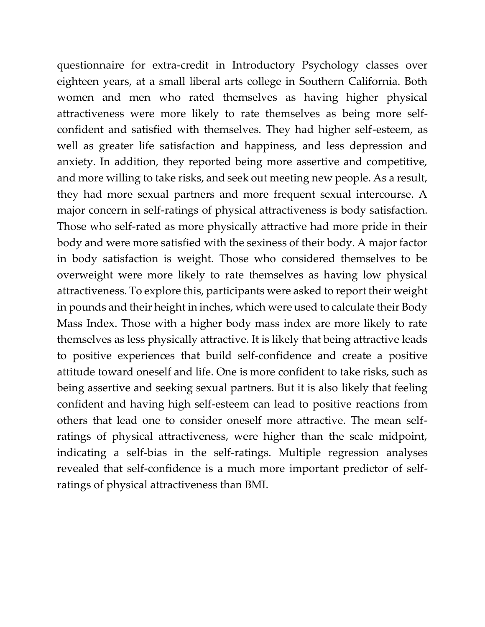questionnaire for extra-credit in Introductory Psychology classes over eighteen years, at a small liberal arts college in Southern California. Both women and men who rated themselves as having higher physical attractiveness were more likely to rate themselves as being more selfconfident and satisfied with themselves. They had higher self-esteem, as well as greater life satisfaction and happiness, and less depression and anxiety. In addition, they reported being more assertive and competitive, and more willing to take risks, and seek out meeting new people. As a result, they had more sexual partners and more frequent sexual intercourse. A major concern in self-ratings of physical attractiveness is body satisfaction. Those who self-rated as more physically attractive had more pride in their body and were more satisfied with the sexiness of their body. A major factor in body satisfaction is weight. Those who considered themselves to be overweight were more likely to rate themselves as having low physical attractiveness. To explore this, participants were asked to report their weight in pounds and their height in inches, which were used to calculate their Body Mass Index. Those with a higher body mass index are more likely to rate themselves as less physically attractive. It is likely that being attractive leads to positive experiences that build self-confidence and create a positive attitude toward oneself and life. One is more confident to take risks, such as being assertive and seeking sexual partners. But it is also likely that feeling confident and having high self-esteem can lead to positive reactions from others that lead one to consider oneself more attractive. The mean selfratings of physical attractiveness, were higher than the scale midpoint, indicating a self-bias in the self-ratings. Multiple regression analyses revealed that self-confidence is a much more important predictor of selfratings of physical attractiveness than BMI.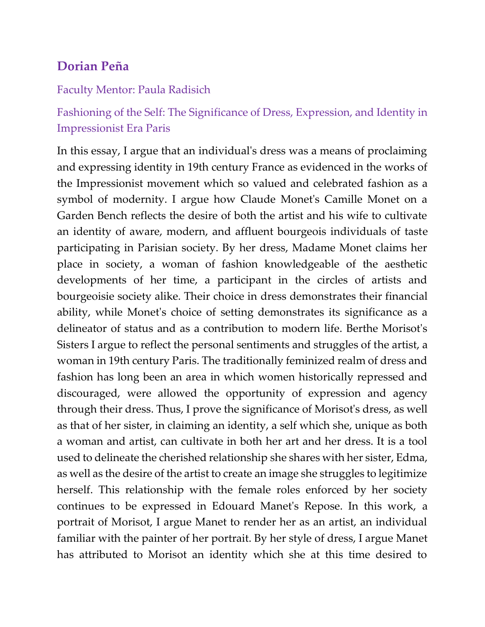# **Dorian Peña**

### Faculty Mentor: Paula Radisich

# Fashioning of the Self: The Significance of Dress, Expression, and Identity in Impressionist Era Paris

In this essay, I argue that an individual's dress was a means of proclaiming and expressing identity in 19th century France as evidenced in the works of the Impressionist movement which so valued and celebrated fashion as a symbol of modernity. I argue how Claude Monet's Camille Monet on a Garden Bench reflects the desire of both the artist and his wife to cultivate an identity of aware, modern, and affluent bourgeois individuals of taste participating in Parisian society. By her dress, Madame Monet claims her place in society, a woman of fashion knowledgeable of the aesthetic developments of her time, a participant in the circles of artists and bourgeoisie society alike. Their choice in dress demonstrates their financial ability, while Monet's choice of setting demonstrates its significance as a delineator of status and as a contribution to modern life. Berthe Morisot's Sisters I argue to reflect the personal sentiments and struggles of the artist, a woman in 19th century Paris. The traditionally feminized realm of dress and fashion has long been an area in which women historically repressed and discouraged, were allowed the opportunity of expression and agency through their dress. Thus, I prove the significance of Morisot's dress, as well as that of her sister, in claiming an identity, a self which she, unique as both a woman and artist, can cultivate in both her art and her dress. It is a tool used to delineate the cherished relationship she shares with her sister, Edma, as well as the desire of the artist to create an image she struggles to legitimize herself. This relationship with the female roles enforced by her society continues to be expressed in Edouard Manet's Repose. In this work, a portrait of Morisot, I argue Manet to render her as an artist, an individual familiar with the painter of her portrait. By her style of dress, I argue Manet has attributed to Morisot an identity which she at this time desired to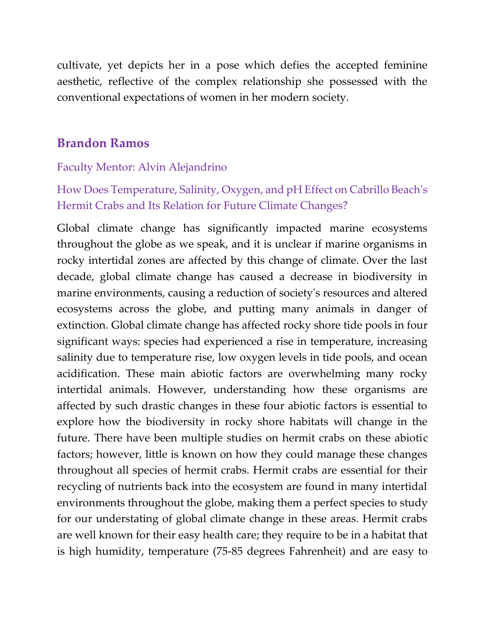cultivate, yet depicts her in a pose which defies the accepted feminine aesthetic, reflective of the complex relationship she possessed with the conventional expectations of women in her modern society.

## **Brandon Ramos**

### Faculty Mentor: Alvin Alejandrino

How Does Temperature, Salinity, Oxygen, and pH Effect on Cabrillo Beach's Hermit Crabs and Its Relation for Future Climate Changes?

Global climate change has significantly impacted marine ecosystems throughout the globe as we speak, and it is unclear if marine organisms in rocky intertidal zones are affected by this change of climate. Over the last decade, global climate change has caused a decrease in biodiversity in marine environments, causing a reduction of society's resources and altered ecosystems across the globe, and putting many animals in danger of extinction. Global climate change has affected rocky shore tide pools in four significant ways: species had experienced a rise in temperature, increasing salinity due to temperature rise, low oxygen levels in tide pools, and ocean acidification. These main abiotic factors are overwhelming many rocky intertidal animals. However, understanding how these organisms are affected by such drastic changes in these four abiotic factors is essential to explore how the biodiversity in rocky shore habitats will change in the future. There have been multiple studies on hermit crabs on these abiotic factors; however, little is known on how they could manage these changes throughout all species of hermit crabs. Hermit crabs are essential for their recycling of nutrients back into the ecosystem are found in many intertidal environments throughout the globe, making them a perfect species to study for our understating of global climate change in these areas. Hermit crabs are well known for their easy health care; they require to be in a habitat that is high humidity, temperature (75-85 degrees Fahrenheit) and are easy to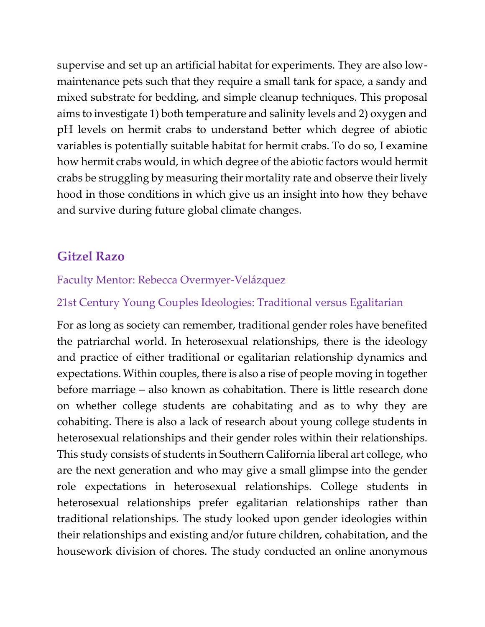supervise and set up an artificial habitat for experiments. They are also lowmaintenance pets such that they require a small tank for space, a sandy and mixed substrate for bedding, and simple cleanup techniques. This proposal aims to investigate 1) both temperature and salinity levels and 2) oxygen and pH levels on hermit crabs to understand better which degree of abiotic variables is potentially suitable habitat for hermit crabs. To do so, I examine how hermit crabs would, in which degree of the abiotic factors would hermit crabs be struggling by measuring their mortality rate and observe their lively hood in those conditions in which give us an insight into how they behave and survive during future global climate changes.

# **Gitzel Razo**

## Faculty Mentor: Rebecca Overmyer-Velázquez

## 21st Century Young Couples Ideologies: Traditional versus Egalitarian

For as long as society can remember, traditional gender roles have benefited the patriarchal world. In heterosexual relationships, there is the ideology and practice of either traditional or egalitarian relationship dynamics and expectations. Within couples, there is also a rise of people moving in together before marriage – also known as cohabitation. There is little research done on whether college students are cohabitating and as to why they are cohabiting. There is also a lack of research about young college students in heterosexual relationships and their gender roles within their relationships. This study consists of students in Southern California liberal art college, who are the next generation and who may give a small glimpse into the gender role expectations in heterosexual relationships. College students in heterosexual relationships prefer egalitarian relationships rather than traditional relationships. The study looked upon gender ideologies within their relationships and existing and/or future children, cohabitation, and the housework division of chores. The study conducted an online anonymous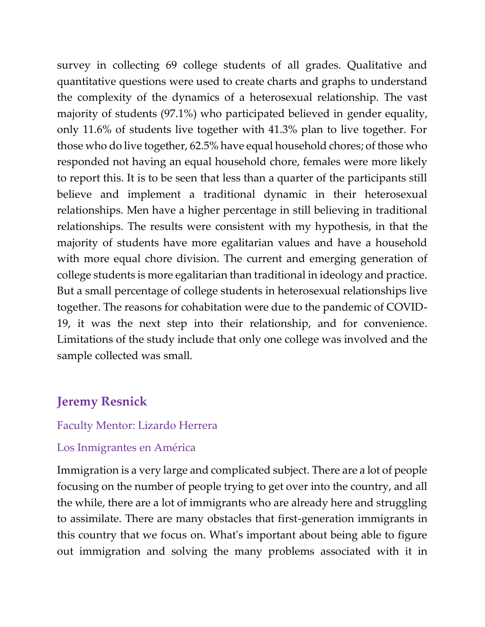survey in collecting 69 college students of all grades. Qualitative and quantitative questions were used to create charts and graphs to understand the complexity of the dynamics of a heterosexual relationship. The vast majority of students (97.1%) who participated believed in gender equality, only 11.6% of students live together with 41.3% plan to live together. For those who do live together, 62.5% have equal household chores; of those who responded not having an equal household chore, females were more likely to report this. It is to be seen that less than a quarter of the participants still believe and implement a traditional dynamic in their heterosexual relationships. Men have a higher percentage in still believing in traditional relationships. The results were consistent with my hypothesis, in that the majority of students have more egalitarian values and have a household with more equal chore division. The current and emerging generation of college students is more egalitarian than traditional in ideology and practice. But a small percentage of college students in heterosexual relationships live together. The reasons for cohabitation were due to the pandemic of COVID-19, it was the next step into their relationship, and for convenience. Limitations of the study include that only one college was involved and the sample collected was small.

## **Jeremy Resnick**

#### Faculty Mentor: Lizardo Herrera

#### Los Inmigrantes en América

Immigration is a very large and complicated subject. There are a lot of people focusing on the number of people trying to get over into the country, and all the while, there are a lot of immigrants who are already here and struggling to assimilate. There are many obstacles that first-generation immigrants in this country that we focus on. What's important about being able to figure out immigration and solving the many problems associated with it in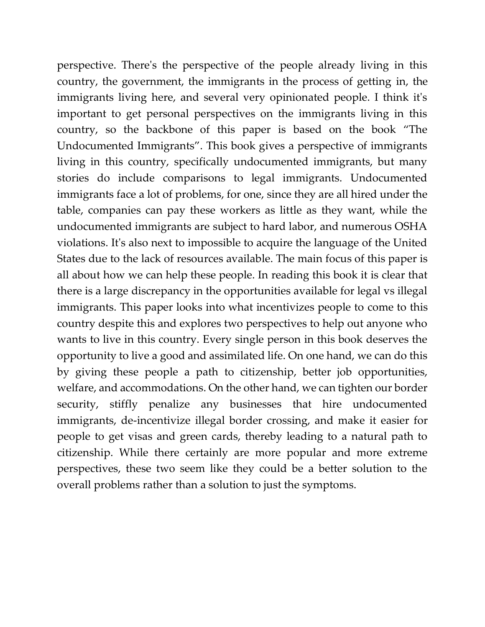perspective. There's the perspective of the people already living in this country, the government, the immigrants in the process of getting in, the immigrants living here, and several very opinionated people. I think it's important to get personal perspectives on the immigrants living in this country, so the backbone of this paper is based on the book "The Undocumented Immigrants". This book gives a perspective of immigrants living in this country, specifically undocumented immigrants, but many stories do include comparisons to legal immigrants. Undocumented immigrants face a lot of problems, for one, since they are all hired under the table, companies can pay these workers as little as they want, while the undocumented immigrants are subject to hard labor, and numerous OSHA violations. It's also next to impossible to acquire the language of the United States due to the lack of resources available. The main focus of this paper is all about how we can help these people. In reading this book it is clear that there is a large discrepancy in the opportunities available for legal vs illegal immigrants. This paper looks into what incentivizes people to come to this country despite this and explores two perspectives to help out anyone who wants to live in this country. Every single person in this book deserves the opportunity to live a good and assimilated life. On one hand, we can do this by giving these people a path to citizenship, better job opportunities, welfare, and accommodations. On the other hand, we can tighten our border security, stiffly penalize any businesses that hire undocumented immigrants, de-incentivize illegal border crossing, and make it easier for people to get visas and green cards, thereby leading to a natural path to citizenship. While there certainly are more popular and more extreme perspectives, these two seem like they could be a better solution to the overall problems rather than a solution to just the symptoms.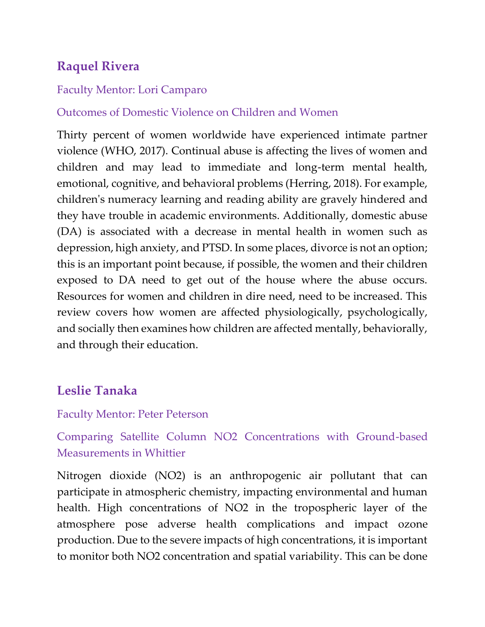# **Raquel Rivera**

### Faculty Mentor: Lori Camparo

### Outcomes of Domestic Violence on Children and Women

Thirty percent of women worldwide have experienced intimate partner violence (WHO, 2017). Continual abuse is affecting the lives of women and children and may lead to immediate and long-term mental health, emotional, cognitive, and behavioral problems (Herring, 2018). For example, children's numeracy learning and reading ability are gravely hindered and they have trouble in academic environments. Additionally, domestic abuse (DA) is associated with a decrease in mental health in women such as depression, high anxiety, and PTSD. In some places, divorce is not an option; this is an important point because, if possible, the women and their children exposed to DA need to get out of the house where the abuse occurs. Resources for women and children in dire need, need to be increased. This review covers how women are affected physiologically, psychologically, and socially then examines how children are affected mentally, behaviorally, and through their education.

## **Leslie Tanaka**

#### Faculty Mentor: Peter Peterson

## Comparing Satellite Column NO2 Concentrations with Ground-based Measurements in Whittier

Nitrogen dioxide (NO2) is an anthropogenic air pollutant that can participate in atmospheric chemistry, impacting environmental and human health. High concentrations of NO2 in the tropospheric layer of the atmosphere pose adverse health complications and impact ozone production. Due to the severe impacts of high concentrations, it is important to monitor both NO2 concentration and spatial variability. This can be done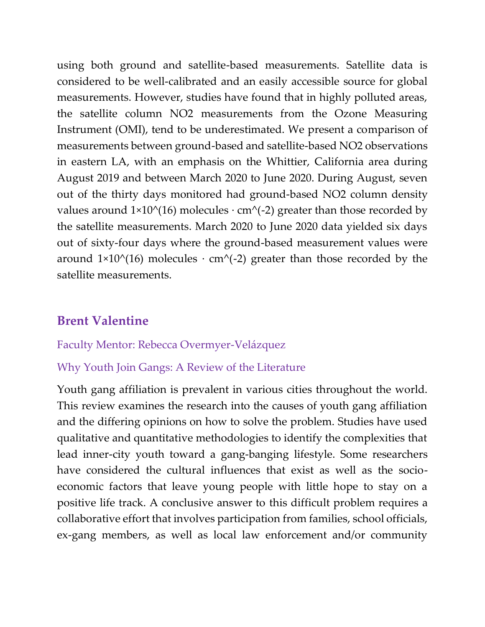using both ground and satellite-based measurements. Satellite data is considered to be well-calibrated and an easily accessible source for global measurements. However, studies have found that in highly polluted areas, the satellite column NO2 measurements from the Ozone Measuring Instrument (OMI), tend to be underestimated. We present a comparison of measurements between ground-based and satellite-based NO2 observations in eastern LA, with an emphasis on the Whittier, California area during August 2019 and between March 2020 to June 2020. During August, seven out of the thirty days monitored had ground-based NO2 column density values around  $1\times10^{(16)}$  molecules  $\cdot$  cm^(-2) greater than those recorded by the satellite measurements. March 2020 to June 2020 data yielded six days out of sixty-four days where the ground-based measurement values were around  $1\times10^{6}$ (16) molecules ⋅ cm<sup>^</sup>(-2) greater than those recorded by the satellite measurements.

# **Brent Valentine**

### Faculty Mentor: Rebecca Overmyer-Velázquez

### Why Youth Join Gangs: A Review of the Literature

Youth gang affiliation is prevalent in various cities throughout the world. This review examines the research into the causes of youth gang affiliation and the differing opinions on how to solve the problem. Studies have used qualitative and quantitative methodologies to identify the complexities that lead inner-city youth toward a gang-banging lifestyle. Some researchers have considered the cultural influences that exist as well as the socioeconomic factors that leave young people with little hope to stay on a positive life track. A conclusive answer to this difficult problem requires a collaborative effort that involves participation from families, school officials, ex-gang members, as well as local law enforcement and/or community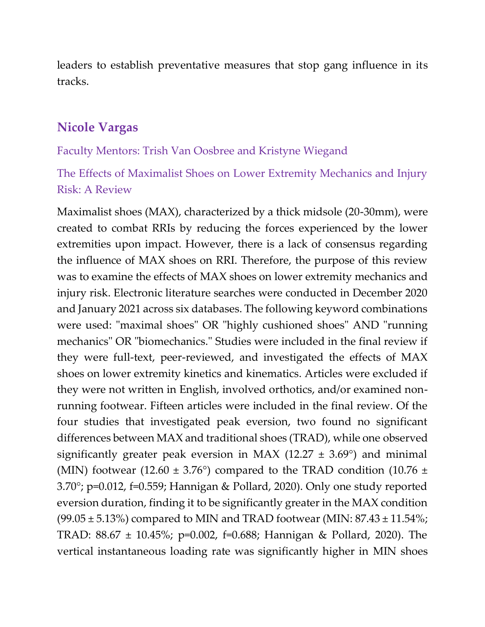leaders to establish preventative measures that stop gang influence in its tracks.

## **Nicole Vargas**

#### Faculty Mentors: Trish Van Oosbree and Kristyne Wiegand

The Effects of Maximalist Shoes on Lower Extremity Mechanics and Injury Risk: A Review

Maximalist shoes (MAX), characterized by a thick midsole (20-30mm), were created to combat RRIs by reducing the forces experienced by the lower extremities upon impact. However, there is a lack of consensus regarding the influence of MAX shoes on RRI. Therefore, the purpose of this review was to examine the effects of MAX shoes on lower extremity mechanics and injury risk. Electronic literature searches were conducted in December 2020 and January 2021 across six databases. The following keyword combinations were used: "maximal shoes" OR "highly cushioned shoes" AND "running mechanics" OR "biomechanics." Studies were included in the final review if they were full-text, peer-reviewed, and investigated the effects of MAX shoes on lower extremity kinetics and kinematics. Articles were excluded if they were not written in English, involved orthotics, and/or examined nonrunning footwear. Fifteen articles were included in the final review. Of the four studies that investigated peak eversion, two found no significant differences between MAX and traditional shoes (TRAD), while one observed significantly greater peak eversion in MAX (12.27  $\pm$  3.69°) and minimal (MIN) footwear (12.60  $\pm$  3.76°) compared to the TRAD condition (10.76  $\pm$ 3.70°; p=0.012, f=0.559; Hannigan & Pollard, 2020). Only one study reported eversion duration, finding it to be significantly greater in the MAX condition  $(99.05 \pm 5.13%)$  compared to MIN and TRAD footwear (MIN:  $87.43 \pm 11.54%$ ; TRAD: 88.67 ± 10.45%; p=0.002, f=0.688; Hannigan & Pollard, 2020). The vertical instantaneous loading rate was significantly higher in MIN shoes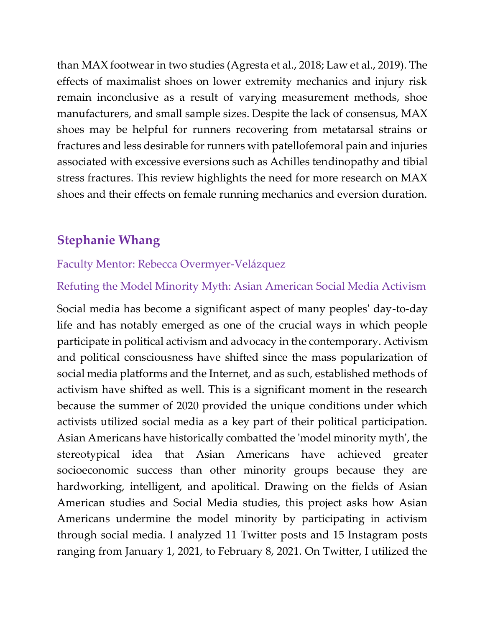than MAX footwear in two studies (Agresta et al., 2018; Law et al., 2019). The effects of maximalist shoes on lower extremity mechanics and injury risk remain inconclusive as a result of varying measurement methods, shoe manufacturers, and small sample sizes. Despite the lack of consensus, MAX shoes may be helpful for runners recovering from metatarsal strains or fractures and less desirable for runners with patellofemoral pain and injuries associated with excessive eversions such as Achilles tendinopathy and tibial stress fractures. This review highlights the need for more research on MAX shoes and their effects on female running mechanics and eversion duration.

# **Stephanie Whang**

### Faculty Mentor: Rebecca Overmyer-Velázquez

Refuting the Model Minority Myth: Asian American Social Media Activism

Social media has become a significant aspect of many peoples' day-to-day life and has notably emerged as one of the crucial ways in which people participate in political activism and advocacy in the contemporary. Activism and political consciousness have shifted since the mass popularization of social media platforms and the Internet, and as such, established methods of activism have shifted as well. This is a significant moment in the research because the summer of 2020 provided the unique conditions under which activists utilized social media as a key part of their political participation. Asian Americans have historically combatted the 'model minority myth', the stereotypical idea that Asian Americans have achieved greater socioeconomic success than other minority groups because they are hardworking, intelligent, and apolitical. Drawing on the fields of Asian American studies and Social Media studies, this project asks how Asian Americans undermine the model minority by participating in activism through social media. I analyzed 11 Twitter posts and 15 Instagram posts ranging from January 1, 2021, to February 8, 2021. On Twitter, I utilized the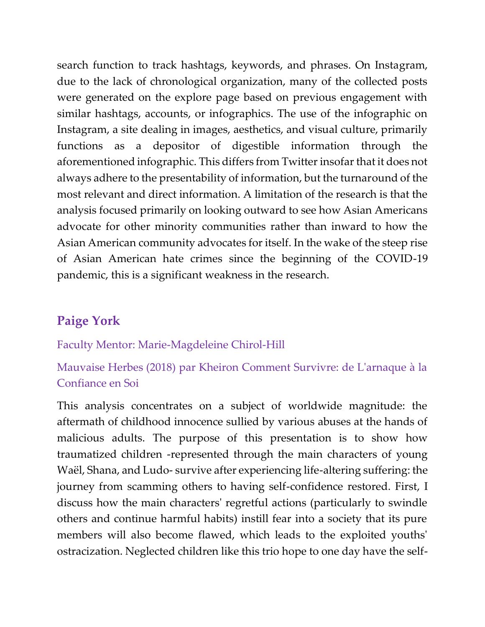search function to track hashtags, keywords, and phrases. On Instagram, due to the lack of chronological organization, many of the collected posts were generated on the explore page based on previous engagement with similar hashtags, accounts, or infographics. The use of the infographic on Instagram, a site dealing in images, aesthetics, and visual culture, primarily functions as a depositor of digestible information through the aforementioned infographic. This differs from Twitter insofar that it does not always adhere to the presentability of information, but the turnaround of the most relevant and direct information. A limitation of the research is that the analysis focused primarily on looking outward to see how Asian Americans advocate for other minority communities rather than inward to how the Asian American community advocates for itself. In the wake of the steep rise of Asian American hate crimes since the beginning of the COVID-19 pandemic, this is a significant weakness in the research.

# **Paige York**

#### Faculty Mentor: Marie-Magdeleine Chirol-Hill

## Mauvaise Herbes (2018) par Kheiron Comment Survivre: de L'arnaque à la Confiance en Soi

This analysis concentrates on a subject of worldwide magnitude: the aftermath of childhood innocence sullied by various abuses at the hands of malicious adults. The purpose of this presentation is to show how traumatized children -represented through the main characters of young Waël, Shana, and Ludo- survive after experiencing life-altering suffering: the journey from scamming others to having self-confidence restored. First, I discuss how the main characters' regretful actions (particularly to swindle others and continue harmful habits) instill fear into a society that its pure members will also become flawed, which leads to the exploited youths' ostracization. Neglected children like this trio hope to one day have the self